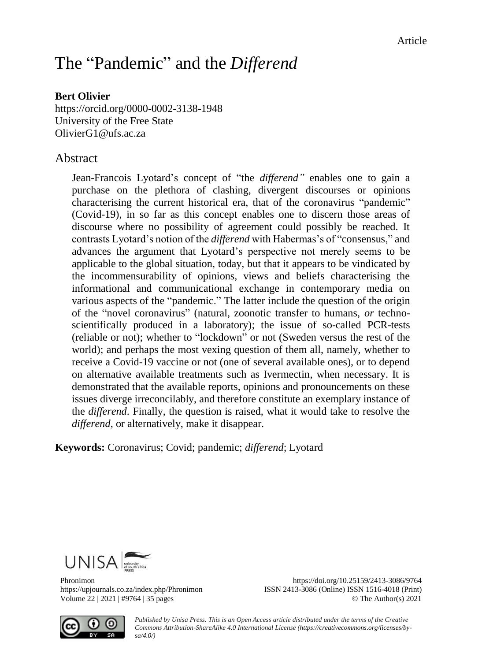# The "Pandemic" and the *Differend*

# **Bert Olivier**

<https://orcid.org/0000-0002-3138-1948> University of the Free State [OlivierG1@ufs.ac.za](mailto:OlivierG1@ufs.ac.za)

# Abstract

Jean-Francois Lyotard's concept of "the *differend"* enables one to gain a purchase on the plethora of clashing, divergent discourses or opinions characterising the current historical era, that of the coronavirus "pandemic" (Covid-19), in so far as this concept enables one to discern those areas of discourse where no possibility of agreement could possibly be reached. It contrasts Lyotard's notion of the *differend* with Habermas's of "consensus," and advances the argument that Lyotard's perspective not merely seems to be applicable to the global situation, today, but that it appears to be vindicated by the incommensurability of opinions, views and beliefs characterising the informational and communicational exchange in contemporary media on various aspects of the "pandemic." The latter include the question of the origin of the "novel coronavirus" (natural, zoonotic transfer to humans, *or* technoscientifically produced in a laboratory); the issue of so-called PCR-tests (reliable or not); whether to "lockdown" or not (Sweden versus the rest of the world); and perhaps the most vexing question of them all, namely, whether to receive a Covid-19 vaccine or not (one of several available ones), or to depend on alternative available treatments such as Ivermectin, when necessary. It is demonstrated that the available reports, opinions and pronouncements on these issues diverge irreconcilably, and therefore constitute an exemplary instance of the *differend*. Finally, the question is raised, what it would take to resolve the *differend*, or alternatively, make it disappear.

**Keywords:** Coronavirus; Covid; pandemic; *differend*; Lyotard





Phronimon <https://doi.org/10.25159/2413-3086/9764> <https://upjournals.co.za/index.php/Phronimon> ISSN 2413-3086 (Online) ISSN 1516-4018 (Print) Volume 22 | 2021 | #9764 | 35 pages © The Author(s) 2021

> *Published by Unisa Press. This is an Open Access article distributed under the terms of the Creative Commons Attribution-ShareAlike 4.0 International License [\(https://creativecommons.org/licenses/by](https://creativecommons.org/licenses/by-sa/4.0/)[sa/4.0/\)](https://creativecommons.org/licenses/by-sa/4.0/)*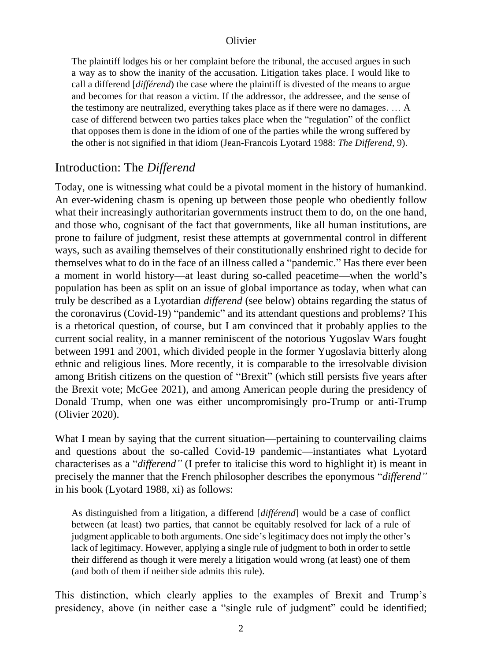The plaintiff lodges his or her complaint before the tribunal, the accused argues in such a way as to show the inanity of the accusation. Litigation takes place. I would like to call a differend [*différend*) the case where the plaintiff is divested of the means to argue and becomes for that reason a victim. If the addressor, the addressee, and the sense of the testimony are neutralized, everything takes place as if there were no damages. … A case of differend between two parties takes place when the "regulation" of the conflict that opposes them is done in the idiom of one of the parties while the wrong suffered by the other is not signified in that idiom (Jean-Francois Lyotard 1988: *The Differend*, 9).

# Introduction: The *Differend*

Today, one is witnessing what could be a pivotal moment in the history of humankind. An ever-widening chasm is opening up between those people who obediently follow what their increasingly authoritarian governments instruct them to do, on the one hand, and those who, cognisant of the fact that governments, like all human institutions, are prone to failure of judgment, resist these attempts at governmental control in different ways, such as availing themselves of their constitutionally enshrined right to decide for themselves what to do in the face of an illness called a "pandemic." Has there ever been a moment in world history—at least during so-called peacetime—when the world's population has been as split on an issue of global importance as today, when what can truly be described as a Lyotardian *differend* (see below) obtains regarding the status of the coronavirus (Covid-19) "pandemic" and its attendant questions and problems? This is a rhetorical question, of course, but I am convinced that it probably applies to the current social reality, in a manner reminiscent of the notorious Yugoslav Wars fought between 1991 and 2001, which divided people in the former Yugoslavia bitterly along ethnic and religious lines. More recently, it is comparable to the irresolvable division among British citizens on the question of "Brexit" (which still persists five years after the Brexit vote; McGee 2021), and among American people during the presidency of Donald Trump, when one was either uncompromisingly pro-Trump or anti-Trump (Olivier 2020).

What I mean by saying that the current situation—pertaining to countervailing claims and questions about the so-called Covid-19 pandemic—instantiates what Lyotard characterises as a "*differend"* (I prefer to italicise this word to highlight it) is meant in precisely the manner that the French philosopher describes the eponymous "*differend"* in his book (Lyotard 1988, xi) as follows:

As distinguished from a litigation, a differend [*différend*] would be a case of conflict between (at least) two parties, that cannot be equitably resolved for lack of a rule of judgment applicable to both arguments. One side's legitimacy does not imply the other's lack of legitimacy. However, applying a single rule of judgment to both in order to settle their differend as though it were merely a litigation would wrong (at least) one of them (and both of them if neither side admits this rule).

This distinction, which clearly applies to the examples of Brexit and Trump's presidency, above (in neither case a "single rule of judgment" could be identified;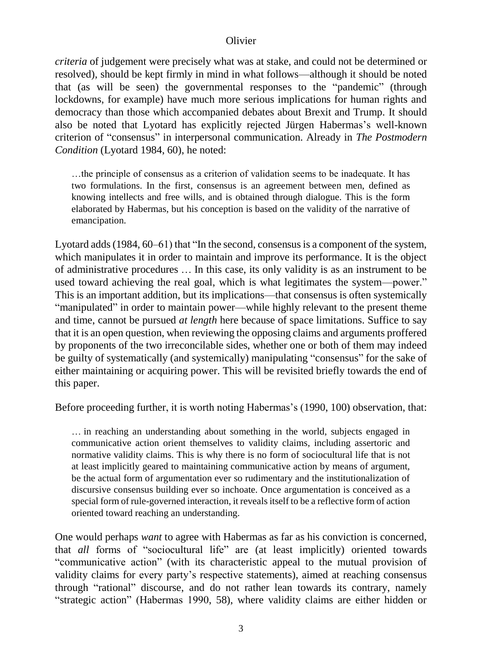*criteria* of judgement were precisely what was at stake, and could not be determined or resolved), should be kept firmly in mind in what follows—although it should be noted that (as will be seen) the governmental responses to the "pandemic" (through lockdowns, for example) have much more serious implications for human rights and democracy than those which accompanied debates about Brexit and Trump. It should also be noted that Lyotard has explicitly rejected Jürgen Habermas's well-known criterion of "consensus" in interpersonal communication. Already in *The Postmodern Condition* (Lyotard 1984, 60), he noted:

…the principle of consensus as a criterion of validation seems to be inadequate. It has two formulations. In the first, consensus is an agreement between men, defined as knowing intellects and free wills, and is obtained through dialogue. This is the form elaborated by Habermas, but his conception is based on the validity of the narrative of emancipation.

Lyotard adds (1984, 60–61) that "In the second, consensus is a component of the system, which manipulates it in order to maintain and improve its performance. It is the object of administrative procedures … In this case, its only validity is as an instrument to be used toward achieving the real goal, which is what legitimates the system—power." This is an important addition, but its implications—that consensus is often systemically "manipulated" in order to maintain power—while highly relevant to the present theme and time, cannot be pursued *at length* here because of space limitations. Suffice to say that it is an open question, when reviewing the opposing claims and arguments proffered by proponents of the two irreconcilable sides, whether one or both of them may indeed be guilty of systematically (and systemically) manipulating "consensus" for the sake of either maintaining or acquiring power. This will be revisited briefly towards the end of this paper.

Before proceeding further, it is worth noting Habermas's (1990, 100) observation, that:

… in reaching an understanding about something in the world, subjects engaged in communicative action orient themselves to validity claims, including assertoric and normative validity claims. This is why there is no form of sociocultural life that is not at least implicitly geared to maintaining communicative action by means of argument, be the actual form of argumentation ever so rudimentary and the institutionalization of discursive consensus building ever so inchoate. Once argumentation is conceived as a special form of rule-governed interaction, it reveals itself to be a reflective form of action oriented toward reaching an understanding.

One would perhaps *want* to agree with Habermas as far as his conviction is concerned, that *all* forms of "sociocultural life" are (at least implicitly) oriented towards "communicative action" (with its characteristic appeal to the mutual provision of validity claims for every party's respective statements), aimed at reaching consensus through "rational" discourse, and do not rather lean towards its contrary, namely "strategic action" (Habermas 1990, 58), where validity claims are either hidden or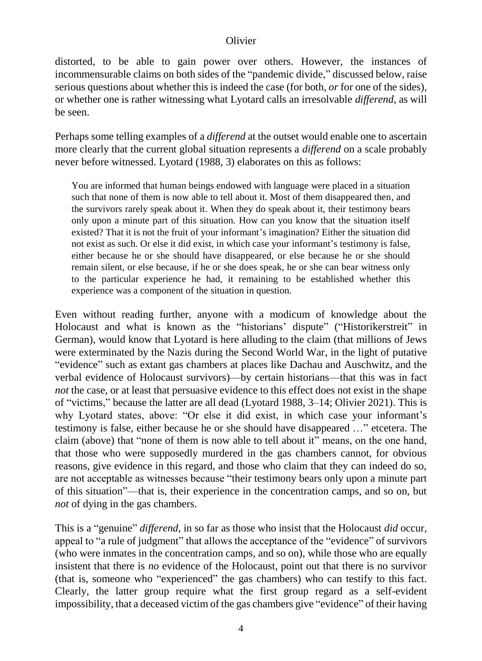distorted, to be able to gain power over others. However, the instances of incommensurable claims on both sides of the "pandemic divide," discussed below, raise serious questions about whether this is indeed the case (for both, *or* for one of the sides), or whether one is rather witnessing what Lyotard calls an irresolvable *differend*, as will be seen.

Perhaps some telling examples of a *differend* at the outset would enable one to ascertain more clearly that the current global situation represents a *differend* on a scale probably never before witnessed. Lyotard (1988, 3) elaborates on this as follows:

You are informed that human beings endowed with language were placed in a situation such that none of them is now able to tell about it. Most of them disappeared then, and the survivors rarely speak about it. When they do speak about it, their testimony bears only upon a minute part of this situation. How can you know that the situation itself existed? That it is not the fruit of your informant's imagination? Either the situation did not exist as such. Or else it did exist, in which case your informant's testimony is false, either because he or she should have disappeared, or else because he or she should remain silent, or else because, if he or she does speak, he or she can bear witness only to the particular experience he had, it remaining to be established whether this experience was a component of the situation in question.

Even without reading further, anyone with a modicum of knowledge about the Holocaust and what is known as the "historians' dispute" ("Historikerstreit" in German), would know that Lyotard is here alluding to the claim (that millions of Jews were exterminated by the Nazis during the Second World War, in the light of putative "evidence" such as extant gas chambers at places like Dachau and Auschwitz, and the verbal evidence of Holocaust survivors)—by certain historians—that this was in fact *not* the case, or at least that persuasive evidence to this effect does not exist in the shape of "victims," because the latter are all dead (Lyotard 1988, 3–14; Olivier 2021). This is why Lyotard states, above: "Or else it did exist, in which case your informant's testimony is false, either because he or she should have disappeared …" etcetera. The claim (above) that "none of them is now able to tell about it" means, on the one hand, that those who were supposedly murdered in the gas chambers cannot, for obvious reasons, give evidence in this regard, and those who claim that they can indeed do so, are not acceptable as witnesses because "their testimony bears only upon a minute part of this situation"—that is, their experience in the concentration camps, and so on, but *not* of dying in the gas chambers.

This is a "genuine" *differend*, in so far as those who insist that the Holocaust *did* occur, appeal to "a rule of judgment" that allows the acceptance of the "evidence" of survivors (who were inmates in the concentration camps, and so on), while those who are equally insistent that there is *no* evidence of the Holocaust, point out that there is no survivor (that is, someone who "experienced" the gas chambers) who can testify to this fact. Clearly, the latter group require what the first group regard as a self-evident impossibility, that a deceased victim of the gas chambers give "evidence" of their having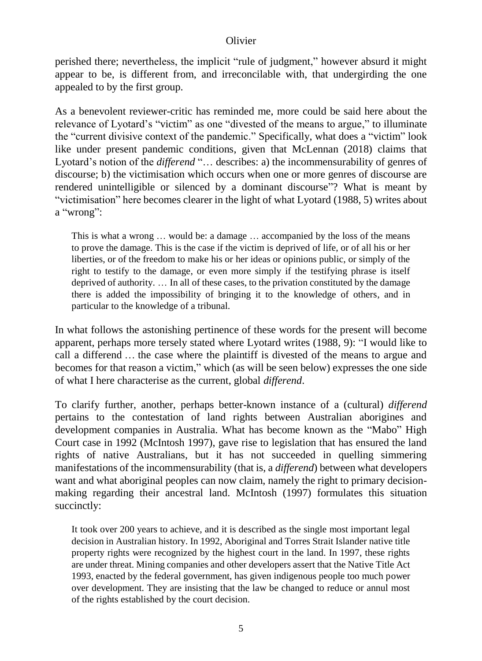perished there; nevertheless, the implicit "rule of judgment," however absurd it might appear to be, is different from, and irreconcilable with, that undergirding the one appealed to by the first group.

As a benevolent reviewer-critic has reminded me, more could be said here about the relevance of Lyotard's "victim" as one "divested of the means to argue," to illuminate the "current divisive context of the pandemic." Specifically, what does a "victim" look like under present pandemic conditions, given that McLennan (2018) claims that Lyotard's notion of the *differend* "… describes: a) the incommensurability of genres of discourse; b) the victimisation which occurs when one or more genres of discourse are rendered unintelligible or silenced by a dominant discourse"? What is meant by "victimisation" here becomes clearer in the light of what Lyotard (1988, 5) writes about a "wrong":

This is what a wrong … would be: a damage … accompanied by the loss of the means to prove the damage. This is the case if the victim is deprived of life, or of all his or her liberties, or of the freedom to make his or her ideas or opinions public, or simply of the right to testify to the damage, or even more simply if the testifying phrase is itself deprived of authority. … In all of these cases, to the privation constituted by the damage there is added the impossibility of bringing it to the knowledge of others, and in particular to the knowledge of a tribunal.

In what follows the astonishing pertinence of these words for the present will become apparent, perhaps more tersely stated where Lyotard writes (1988, 9): "I would like to call a differend … the case where the plaintiff is divested of the means to argue and becomes for that reason a victim," which (as will be seen below) expresses the one side of what I here characterise as the current, global *differend*.

To clarify further, another, perhaps better-known instance of a (cultural) *differend* pertains to the contestation of land rights between Australian aborigines and development companies in Australia. What has become known as the "Mabo" High Court case in 1992 (McIntosh 1997), gave rise to legislation that has ensured the land rights of native Australians, but it has not succeeded in quelling simmering manifestations of the incommensurability (that is, a *differend*) between what developers want and what aboriginal peoples can now claim, namely the right to primary decisionmaking regarding their ancestral land. McIntosh (1997) formulates this situation succinctly:

It took over 200 years to achieve, and it is described as the single most important legal decision in Australian history. In 1992, Aboriginal and Torres Strait Islander native title property rights were recognized by the highest court in the land. In 1997, these rights are under threat. Mining companies and other developers assert that the Native Title Act 1993, enacted by the federal government, has given indigenous people too much power over development. They are insisting that the law be changed to reduce or annul most of the rights established by the court decision.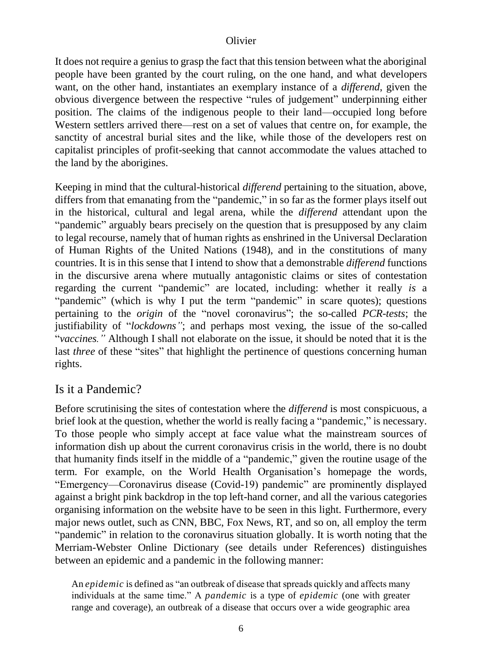It does not require a genius to grasp the fact that this tension between what the aboriginal people have been granted by the court ruling, on the one hand, and what developers want, on the other hand, instantiates an exemplary instance of a *differend*, given the obvious divergence between the respective "rules of judgement" underpinning either position. The claims of the indigenous people to their land—occupied long before Western settlers arrived there—rest on a set of values that centre on, for example, the sanctity of ancestral burial sites and the like, while those of the developers rest on capitalist principles of profit-seeking that cannot accommodate the values attached to the land by the aborigines.

Keeping in mind that the cultural-historical *differend* pertaining to the situation, above, differs from that emanating from the "pandemic," in so far as the former plays itself out in the historical, cultural and legal arena, while the *differend* attendant upon the "pandemic" arguably bears precisely on the question that is presupposed by any claim to legal recourse, namely that of human rights as enshrined in the Universal Declaration of Human Rights of the United Nations (1948), and in the constitutions of many countries. It is in this sense that I intend to show that a demonstrable *differend* functions in the discursive arena where mutually antagonistic claims or sites of contestation regarding the current "pandemic" are located, including: whether it really *is* a "pandemic" (which is why I put the term "pandemic" in scare quotes); questions pertaining to the *origin* of the "novel coronavirus"; the so-called *PCR*-*tests*; the justifiability of "*lockdowns"*; and perhaps most vexing, the issue of the so-called "*vaccines."* Although I shall not elaborate on the issue, it should be noted that it is the last *three* of these "sites" that highlight the pertinence of questions concerning human rights.

# Is it a Pandemic?

Before scrutinising the sites of contestation where the *differend* is most conspicuous, a brief look at the question, whether the world is really facing a "pandemic," is necessary. To those people who simply accept at face value what the mainstream sources of information dish up about the current coronavirus crisis in the world, there is no doubt that humanity finds itself in the middle of a "pandemic," given the routine usage of the term. For example, on the World Health Organisation's homepage the words, "Emergency—Coronavirus disease (Covid-19) pandemic" are prominently displayed against a bright pink backdrop in the top left-hand corner, and all the various categories organising information on the website have to be seen in this light. Furthermore, every major news outlet, such as CNN, BBC, Fox News, RT, and so on, all employ the term "pandemic" in relation to the coronavirus situation globally. It is worth noting that the Merriam-Webster Online Dictionary (see details under References) distinguishes between an epidemic and a pandemic in the following manner:

An *epidemic* is defined as "an outbreak of disease that spreads quickly and affects many individuals at the same time." A *pandemic* is a type of *epidemic* (one with greater range and coverage), an outbreak of a disease that occurs over a wide geographic area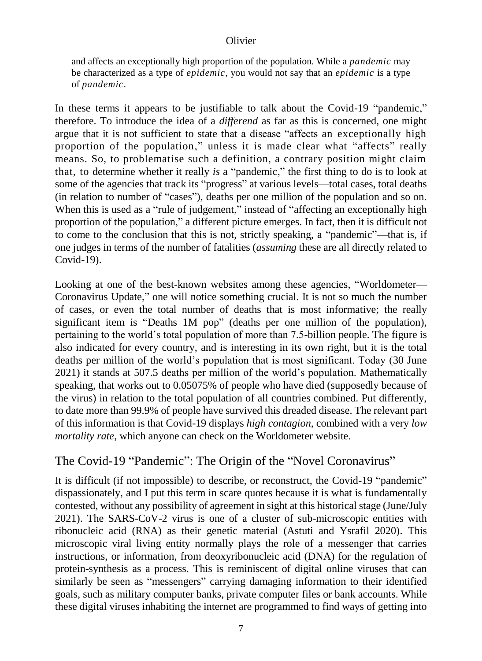and affects an exceptionally high proportion of the population. While a *pandemic* may be characterized as a type of *epidemic*, you would not say that an *epidemic* is a type of *pandemic*.

In these terms it appears to be justifiable to talk about the Covid-19 "pandemic," therefore. To introduce the idea of a *differend* as far as this is concerned, one might argue that it is not sufficient to state that a disease "affects an exceptionally high proportion of the population," unless it is made clear what "affects" really means. So, to problematise such a definition, a contrary position might claim that, to determine whether it really *is* a "pandemic," the first thing to do is to look at some of the agencies that track its "progress" at various levels—total cases, total deaths (in relation to number of "cases"), deaths per one million of the population and so on. When this is used as a "rule of judgement," instead of "affecting an exceptionally high proportion of the population," a different picture emerges. In fact, then it is difficult not to come to the conclusion that this is not, strictly speaking, a "pandemic"—that is, if one judges in terms of the number of fatalities (*assuming* these are all directly related to Covid-19).

Looking at one of the best-known websites among these agencies, "Worldometer— Coronavirus Update," one will notice something crucial. It is not so much the number of cases, or even the total number of deaths that is most informative; the really significant item is "Deaths 1M pop" (deaths per one million of the population), pertaining to the world's total population of more than 7.5-billion people. The figure is also indicated for every country, and is interesting in its own right, but it is the total deaths per million of the world's population that is most significant. Today (30 June 2021) it stands at 507.5 deaths per million of the world's population. Mathematically speaking, that works out to 0.05075% of people who have died (supposedly because of the virus) in relation to the total population of all countries combined. Put differently, to date more than 99.9% of people have survived this dreaded disease. The relevant part of this information is that Covid-19 displays *high contagion*, combined with a very *low mortality rate*, which anyone can check on the Worldometer website.

# The Covid-19 "Pandemic": The Origin of the "Novel Coronavirus"

It is difficult (if not impossible) to describe, or reconstruct, the Covid-19 "pandemic" dispassionately, and I put this term in scare quotes because it is what is fundamentally contested, without any possibility of agreement in sight at this historical stage (June/July 2021). The SARS-CoV-2 virus is one of a cluster of sub-microscopic entities with [ribonucleic acid \(RNA\) as their genetic material](https://en.wikipedia.org/wiki/RNA_virus#_blank) (Astuti and Ysrafil 2020). This microscopic viral living entity normally plays the role of a messenger that carries instructions, or information, from deoxyribonucleic acid (DNA) for the regulation of protein-synthesis as a process. This is reminiscent of digital online viruses that can similarly be seen as "messengers" carrying damaging information to their identified goals, such as military computer banks, private computer files or bank accounts. While these digital viruses inhabiting the internet are programmed to find ways of getting into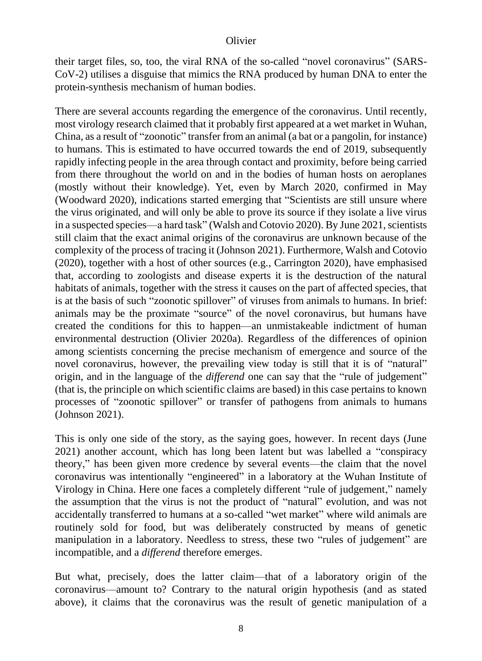their target files, so, too, the viral RNA of the so-called "novel coronavirus" (SARS-CoV-2) utilises a disguise that mimics [the RNA produced by human DNA](https://www.rochester.edu/newscenter/covid-19-rna-coronavirus-research-428952/#_blank) to enter the protein-synthesis mechanism of human bodies.

There are several accounts regarding the emergence of the coronavirus. Until recently, most virology research claimed that it probably first appeared at a wet market in Wuhan, China, as a result of "zoonotic" transfer from an animal (a bat or a pangolin, for instance) to humans. This is estimated to have occurred towards the end of 2019, subsequently rapidly infecting people in the area through contact and proximity, before being carried from there throughout the world on and in the bodies of human hosts on aeroplanes (mostly without their knowledge). Yet, even by March 2020, confirmed in May (Woodward 2020), indications started emerging that "Scientists are still unsure where the virus originated, and will only be able to prove its source if they isolate a live virus in a suspected species—a hard task" (Walsh and Cotovio 2020). By June 2021, scientists still claim that the exact animal origins of the coronavirus are unknown because of the complexity of the process of tracing it (Johnson 2021). Furthermore, Walsh and Cotovio (2020), together with a host of other sources (e.g., Carrington 2020), have emphasised that, according to zoologists and disease experts it is the destruction of the natural habitats of animals, together with the stress it causes on the part of affected species, that is at the basis of such "zoonotic spillover" of viruses from animals to humans. In brief: animals may be the proximate "source" of the novel coronavirus, but humans have created the conditions for this to happen—an unmistakeable indictment of human environmental destruction (Olivier 2020a). Regardless of the differences of opinion among scientists concerning the precise mechanism of emergence and source of the novel coronavirus, however, the prevailing view today is still that it is of "natural" origin, and in the language of the *differend* one can say that the "rule of judgement" (that is, the principle on which scientific claims are based) in this case pertains to known processes of "zoonotic spillover" or transfer of pathogens from animals to humans (Johnson 2021).

This is only one side of the story, as the saying goes, however. In recent days (June 2021) another account, which has long been latent but was labelled a "conspiracy theory," has been given more credence by several events—the claim that the novel coronavirus was intentionally "engineered" in a laboratory at the Wuhan Institute of Virology in China. Here one faces a completely different "rule of judgement," namely the assumption that the virus is not the product of "natural" evolution, and was not accidentally transferred to humans at a so-called "wet market" where wild animals are routinely sold for food, but was deliberately constructed by means of genetic manipulation in a laboratory. Needless to stress, these two "rules of judgement" are incompatible, and a *differend* therefore emerges.

But what, precisely, does the latter claim—that of a laboratory origin of the coronavirus—amount to? Contrary to the natural origin hypothesis (and as stated above), it claims that the coronavirus was the result of genetic manipulation of a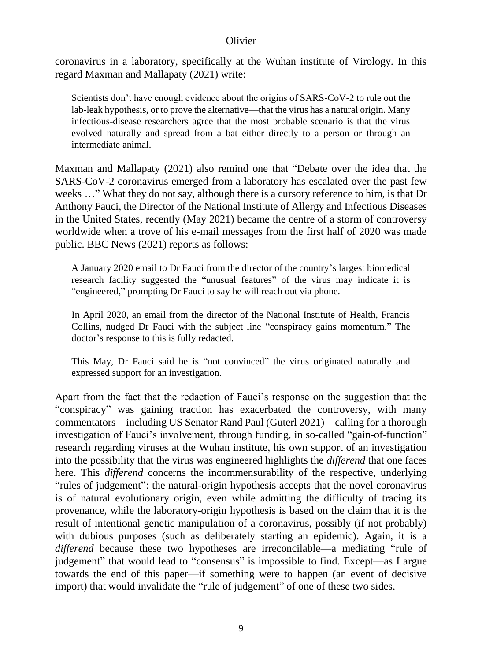coronavirus in a laboratory, specifically at the Wuhan institute of Virology. In this regard Maxman and Mallapaty (2021) write:

Scientists don't have enough evidence about the origins of SARS-CoV-2 to rule out the lab-leak hypothesis, or to prove the alternative—that the virus has a natural origin. Many infectious-disease researchers agree that the most probable scenario is that the virus evolved naturally and spread from a bat either directly to a person or through an intermediate animal.

Maxman and Mallapaty (2021) also remind one that "Debate over the idea that the SARS-CoV-2 coronavirus emerged from a laboratory has escalated over the past few weeks ..." What they do not say, although there is a cursory reference to him, is that Dr Anthony Fauci, the Director of the National Institute of Allergy and Infectious Diseases in the United States, recently (May 2021) became the centre of a storm of controversy worldwide when a trove of his e-mail messages from the first half of 2020 was made public. BBC News (2021) reports as follows:

A January 2020 email to Dr Fauci from the director of the country's largest biomedical research facility suggested the "unusual features" of the virus may indicate it is "engineered," prompting Dr Fauci to say he will reach out via phone.

In April 2020, an email from the director of the National Institute of Health, Francis Collins, nudged Dr Fauci with the subject line "conspiracy gains momentum." The doctor's response to this is fully redacted.

This May, Dr Fauci said he is "not convinced" the virus originated naturally and expressed support for an investigation.

Apart from the fact that the redaction of Fauci's response on the suggestion that the "conspiracy" was gaining traction has exacerbated the controversy, with many commentators—including US Senator Rand Paul (Guterl 2021)—calling for a thorough investigation of Fauci's involvement, through funding, in so-called "gain-of-function" research regarding viruses at the Wuhan institute, his own support of an investigation into the possibility that the virus was engineered highlights the *differend* that one faces here. This *differend* concerns the incommensurability of the respective, underlying "rules of judgement": the natural-origin hypothesis accepts that the novel coronavirus is of natural evolutionary origin, even while admitting the difficulty of tracing its provenance, while the laboratory-origin hypothesis is based on the claim that it is the result of intentional genetic manipulation of a coronavirus, possibly (if not probably) with dubious purposes (such as deliberately starting an epidemic). Again, it is a *differend* because these two hypotheses are irreconcilable—a mediating "rule of judgement" that would lead to "consensus" is impossible to find. Except—as I argue towards the end of this paper—if something were to happen (an event of decisive import) that would invalidate the "rule of judgement" of one of these two sides.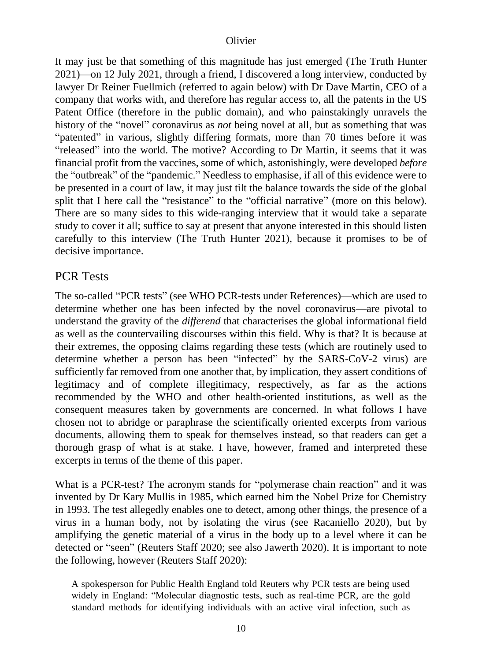It may just be that something of this magnitude has just emerged (The Truth Hunter 2021)—on 12 July 2021, through a friend, I discovered a long interview, conducted by lawyer Dr Reiner Fuellmich (referred to again below) with Dr Dave Martin, CEO of a company that works with, and therefore has regular access to, all the patents in the US Patent Office (therefore in the public domain), and who painstakingly unravels the history of the "novel" coronavirus as *not* being novel at all, but as something that was "patented" in various, slightly differing formats, more than 70 times before it was "released" into the world. The motive? According to Dr Martin, it seems that it was financial profit from the vaccines, some of which, astonishingly, were developed *before* the "outbreak" of the "pandemic." Needless to emphasise, if all of this evidence were to be presented in a court of law, it may just tilt the balance towards the side of the global split that I here call the "resistance" to the "official narrative" (more on this below). There are so many sides to this wide-ranging interview that it would take a separate study to cover it all; suffice to say at present that anyone interested in this should listen carefully to this interview (The Truth Hunter 2021), because it promises to be of decisive importance.

# PCR Tests

The so-called "PCR tests" (see WHO PCR-tests under References)—which are used to determine whether one has been infected by the novel coronavirus—are pivotal to understand the gravity of the *differend* that characterises the global informational field as well as the countervailing discourses within this field. Why is that? It is because at their extremes, the opposing claims regarding these tests (which are routinely used to determine whether a person has been "infected" by the SARS-CoV-2 virus) are sufficiently far removed from one another that, by implication, they assert conditions of legitimacy and of complete illegitimacy, respectively, as far as the actions recommended by the WHO and other health-oriented institutions, as well as the consequent measures taken by governments are concerned. In what follows I have chosen not to abridge or paraphrase the scientifically oriented excerpts from various documents, allowing them to speak for themselves instead, so that readers can get a thorough grasp of what is at stake. I have, however, framed and interpreted these excerpts in terms of the theme of this paper.

What is a PCR-test? The acronym stands for "polymerase chain reaction" and it was invented by Dr Kary Mullis in 1985, which earned him the Nobel Prize for Chemistry in 1993. The test allegedly enables one to detect, among other things, the presence of a virus in a human body, not by isolating the virus (see Racaniello 2020), but by amplifying the genetic material of a virus in the body up to a level where it can be detected or "seen" (Reuters Staff 2020; see also Jawerth 2020). It is important to note the following, however (Reuters Staff 2020):

A spokesperson for Public Health England told Reuters why PCR tests are being used widely in England: "Molecular diagnostic tests, such as real-time PCR, are the gold standard methods for identifying individuals with an active viral infection, such as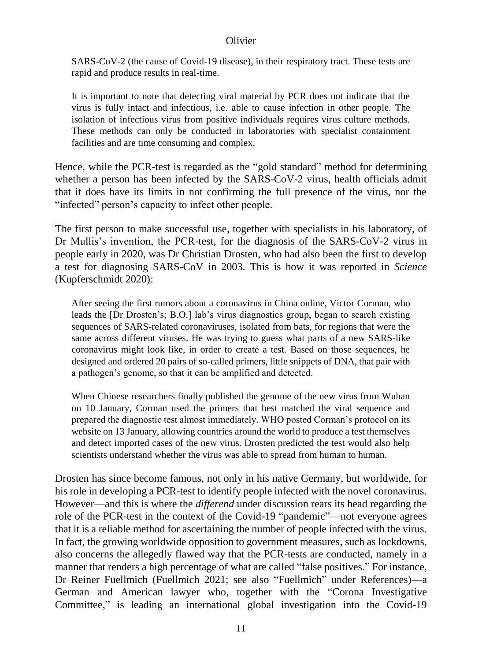SARS-CoV-2 (the cause of Covid-19 disease), in their respiratory tract. These tests are rapid and produce results in real-time.

It is important to note that detecting viral material by PCR does not indicate that the virus is fully intact and infectious, i.e. able to cause infection in other people. The isolation of infectious virus from positive individuals requires virus culture methods. These methods can only be conducted in laboratories with specialist containment facilities and are time consuming and complex.

Hence, while the PCR-test is regarded as the "gold standard" method for determining whether a person has been infected by the SARS-CoV-2 virus, health officials admit that it does have its limits in not confirming the full presence of the virus, nor the "infected" person's capacity to infect other people.

The first person to make successful use, together with specialists in his laboratory, of Dr Mullis's invention, the PCR-test, for the diagnosis of the SARS-CoV-2 virus in people early in 2020, was Dr Christian Drosten, who had also been the first to develop a test for diagnosing SARS-CoV in 2003. This is how it was reported in *Science* (Kupferschmidt 2020):

After seeing the first rumors about a coronavirus in China online, Victor Corman, who leads the [Dr Drosten's; B.O.] lab's virus diagnostics group, began to search existing sequences of SARS-related coronaviruses, isolated from bats, for regions that were the same across different viruses. He was trying to guess what parts of a new SARS-like coronavirus might look like, in order to create a test. Based on those sequences, he designed and ordered 20 pairs of so-called primers, little snippets of DNA, that pair with a pathogen's genome, so that it can be amplified and detected.

When Chinese researchers finally published the genome of the new virus from Wuhan on 10 January, Corman used the primers that best matched the viral sequence and prepared the diagnostic test almost immediately. WHO posted Corman's protocol on its website on 13 January, allowing countries around the world to produce a test themselves and detect imported cases of the new virus. Drosten predicted the test would also help scientists understand whether the virus was able to spread from human to human.

Drosten has since become famous, not only in his native Germany, but worldwide, for his role in developing a PCR-test to identify people infected with the novel coronavirus. However—and this is where the *differend* under discussion rears its head regarding the role of the PCR-test in the context of the Covid-19 "pandemic"—not everyone agrees that it is a reliable method for ascertaining the number of people infected with the virus. In fact, the growing worldwide opposition to government measures, such as lockdowns, also concerns the allegedly flawed way that the PCR-tests are conducted, namely in a manner that renders a high percentage of what are called "false positives." For instance, Dr Reiner Fuellmich (Fuellmich 2021; see also "Fuellmich" under References)—a German and American lawyer who, together with the "Corona Investigative Committee," is leading an international global investigation into the Covid-19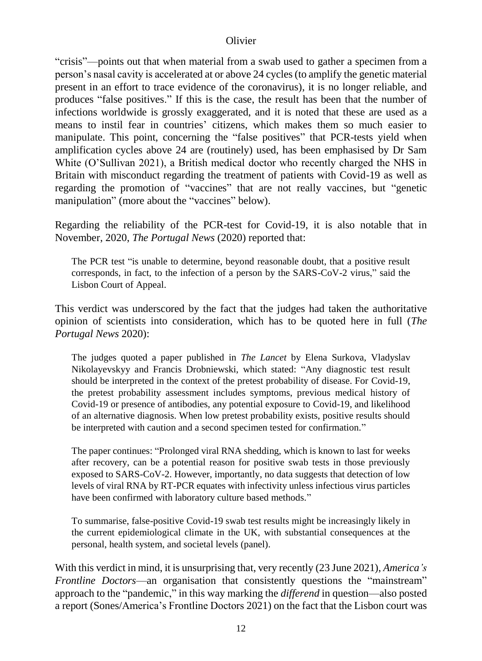"crisis"—points out that when material from a swab used to gather a specimen from a person's nasal cavity is accelerated at or above 24 cycles (to amplify the genetic material present in an effort to trace evidence of the coronavirus), it is no longer reliable, and produces "false positives." If this is the case, the result has been that the number of infections worldwide is grossly exaggerated, and it is noted that these are used as a means to instil fear in countries' citizens, which makes them so much easier to manipulate. This point, concerning the "false positives" that PCR-tests yield when amplification cycles above 24 are (routinely) used, has been emphasised by Dr Sam White (O'Sullivan 2021), a British medical doctor who recently charged the NHS in Britain with misconduct regarding the treatment of patients with Covid-19 as well as regarding the promotion of "vaccines" that are not really vaccines, but "genetic manipulation" (more about the "vaccines" below).

Regarding the reliability of the PCR-test for Covid-19, it is also notable that in November, 2020, *The Portugal News* (2020) reported that:

The PCR test "is unable to determine, beyond reasonable doubt, that a positive result corresponds, in fact, to the infection of a person by the SARS-CoV-2 virus," said the Lisbon Court of Appeal.

This verdict was underscored by the fact that the judges had taken the authoritative opinion of scientists into consideration, which has to be quoted here in full (*The Portugal News* 2020):

The judges quoted a paper published in *The [Lancet](https://www.thelancet.com/journals/lanres/article/PIIS2213-2600(20)30453-7/fulltext)* by Elena Surkova, Vladyslav Nikolayevskyy and Francis Drobniewski, which stated: "Any diagnostic test result should be interpreted in the context of the pretest probability of disease. For Covid-19, the pretest probability assessment includes symptoms, previous medical history of Covid-19 or presence of antibodies, any potential exposure to Covid-19, and likelihood of an alternative diagnosis. When low pretest probability exists, positive results should be interpreted with caution and a second specimen tested for confirmation."

The paper continues: "Prolonged viral RNA shedding, which is known to last for weeks after recovery, can be a potential reason for positive swab tests in those previously exposed to SARS-CoV-2. However, importantly, no data suggests that detection of low levels of viral RNA by RT-PCR equates with infectivity unless infectious virus particles have been confirmed with laboratory culture based methods."

To summarise, false-positive Covid-19 swab test results might be increasingly likely in the current epidemiological climate in the UK, with substantial consequences at the personal, health system, and societal levels (panel).

With this verdict in mind, it is unsurprising that, very recently (23 June 2021), *America's Frontline Doctors*—an organisation that consistently questions the "mainstream" approach to the "pandemic," in this way marking the *differend* in question—also posted a report (Sones/America's Frontline Doctors 2021) on the fact that the Lisbon court was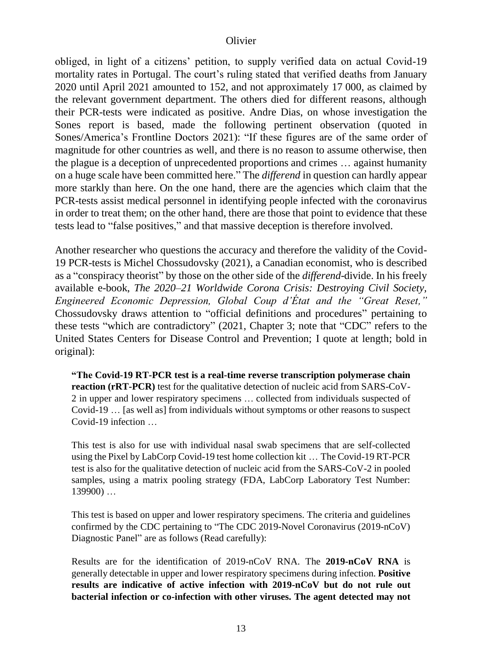obliged, in light of a citizens' petition, to supply verified data on actual Covid-19 mortality rates in Portugal. The court's ruling stated that verified deaths from January 2020 until April 2021 amounted to 152, and not approximately 17 000, as claimed by the relevant government department. The others died for different reasons, although their PCR-tests were indicated as positive. Andre Dias, on whose investigation the Sones report is based, made the following pertinent observation (quoted in Sones/America's Frontline Doctors 2021): "If these figures are of the same order of magnitude for other countries as well, and there is no reason to assume otherwise, then the plague is a deception of unprecedented proportions and crimes … against humanity on a huge scale have been committed here." The *differend* in question can hardly appear more starkly than here. On the one hand, there are the agencies which claim that the PCR-tests assist medical personnel in identifying people infected with the coronavirus in order to treat them; on the other hand, there are those that point to evidence that these tests lead to "false positives," and that massive deception is therefore involved.

Another researcher who questions the accuracy and therefore the validity of the Covid-19 PCR-tests is Michel Chossudovsky (2021), a Canadian economist, who is described as a "conspiracy theorist" by those on the other side of the *differend*-divide. In his freely available e-book, *The 2020–21 Worldwide Corona Crisis: Destroying Civil Society, Engineered Economic Depression, Global Coup d'État and the "Great Reset,"* Chossudovsky draws attention to "official definitions and procedures" pertaining to these tests "which are contradictory" (2021, Chapter 3; note that "CDC" refers to the United States Centers for Disease Control and Prevention; I quote at length; bold in original):

**"The Covid-19 RT-PCR test is a real-time reverse transcription polymerase chain reaction (rRT-PCR)** test for the qualitative detection of nucleic acid from SARS-CoV-2 in upper and lower respiratory specimens … collected from individuals suspected of Covid-19 … [as well as] from individuals without symptoms or other reasons to suspect Covid-19 infection …

This test is also for use with individual nasal swab specimens that are self-collected using the Pixel by LabCorp Covid-19 test home collection kit … The Covid-19 RT-PCR test is also for the qualitative detection of nucleic acid from the SARS-CoV-2 in pooled samples, using a matrix pooling strategy (FDA, LabCorp [Laboratory](https://www.fda.gov/media/136151/download) Test Number: [139900\)](https://www.fda.gov/media/136151/download) …

This test is based on upper and lower respiratory specimens. The criteria and [guidelines](https://www.fda.gov/media/134922/download) [confirmed](https://www.fda.gov/media/134922/download) by the CDC pertaining to "The CDC 2019-Novel Coronavirus (2019-nCoV) Diagnostic Panel" are as follows (Read carefully):

Results are for the identification of 2019-nCoV RNA. The **2019-nCoV RNA** is generally detectable in upper and lower respiratory specimens during infection. **Positive results are indicative of active infection with 2019-nCoV but do not rule out bacterial infection or co-infection with other viruses. The agent detected may not**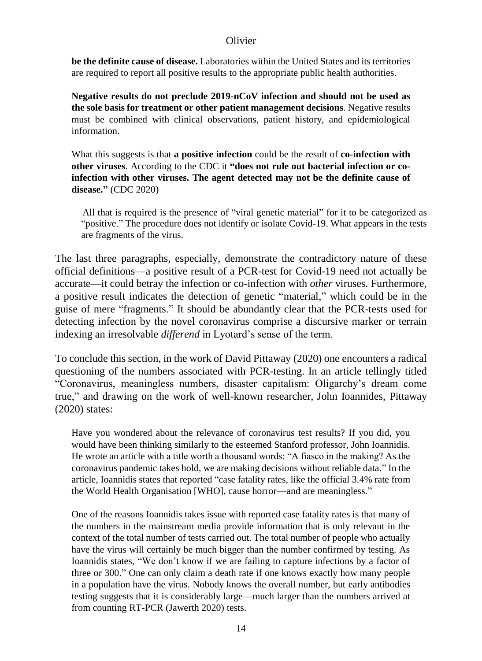**be the definite cause of disease.** Laboratories within the United States and its territories are required to report all positive results to the appropriate public health authorities.

**Negative results do not preclude 2019-nCoV infection and should not be used as the sole basis for treatment or other patient management decisions**. Negative results must be combined with clinical observations, patient history, and epidemiological information.

What this suggests is that **a positive infection** could be the result of **co-infection with other viruses**. According to the CDC it **"does not rule out bacterial infection or coinfection with other viruses. The agent detected may not be the definite cause of disease."** (CDC 2020)

All that is required is the presence of "viral genetic material" for it to be categorized as "positive." The procedure does not identify or isolate Covid-19. What appears in the tests are fragments of the virus.

The last three paragraphs, especially, demonstrate the contradictory nature of these official definitions—a positive result of a PCR-test for Covid-19 need not actually be accurate—it could betray the infection or co-infection with *other* viruses. Furthermore, a positive result indicates the detection of genetic "material," which could be in the guise of mere "fragments." It should be abundantly clear that the PCR-tests used for detecting infection by the novel coronavirus comprise a discursive marker or terrain indexing an irresolvable *differend* in Lyotard's sense of the term.

To conclude this section, in the work of David Pittaway (2020) one encounters a radical questioning of the numbers associated with PCR-testing. In an article tellingly titled "Coronavirus, meaningless numbers, disaster capitalism: Oligarchy's dream come true," and drawing on the work of well-known researcher, John Ioannides, Pittaway (2020) states:

Have you wondered about the relevance of coronavirus test results? If you did, you would have been thinking similarly to the esteemed Stanford professor, John Ioannidis. He wrote an article with a title worth a thousand words: "A fiasco in the making? As the coronavirus pandemic takes hold, we are making decisions without reliable data." In the article, Ioannidis states that reported "case fatality rates, like the official 3.4% rate from the World Health Organisation [WHO], cause horror—and are meaningless."

One of the reasons Ioannidis takes issue with reported case fatality rates is that many of the numbers in the mainstream media provide information that is only relevant in the context of the total number of tests carried out. The total number of people who actually have the virus will certainly be much bigger than the number confirmed by testing. As Ioannidis states, "We don't know if we are failing to capture infections by a factor of three or 300." One can only claim a death rate if one knows exactly how many people in a population have the virus. Nobody knows the overall number, but early antibodies testing suggests that it is considerably large—much larger than the numbers arrived at from counting RT-PCR (Jawerth 2020) tests.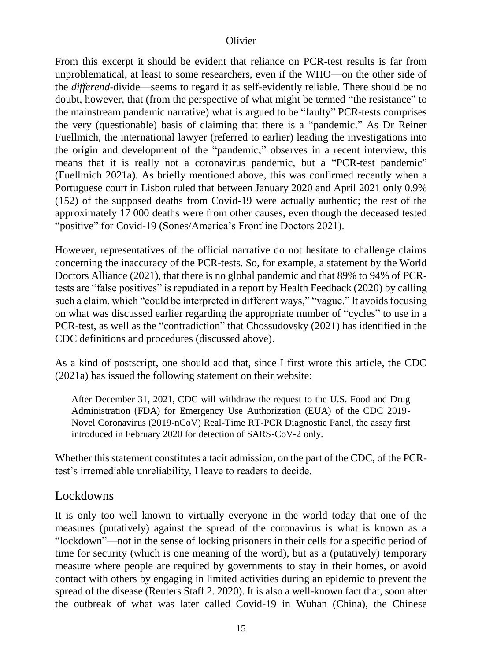From this excerpt it should be evident that reliance on PCR-test results is far from unproblematical, at least to some researchers, even if the WHO—on the other side of the *differend*-divide—seems to regard it as self-evidently reliable. There should be no doubt, however, that (from the perspective of what might be termed "the resistance" to the mainstream pandemic narrative) what is argued to be "faulty" PCR-tests comprises the very (questionable) basis of claiming that there is a "pandemic." As Dr Reiner Fuellmich, the international lawyer (referred to earlier) leading the investigations into the origin and development of the "pandemic," observes in a recent interview, this means that it is really not a coronavirus pandemic, but a "PCR-test pandemic" (Fuellmich 2021a). As briefly mentioned above, this was confirmed recently when a Portuguese court in Lisbon ruled that between January 2020 and April 2021 only 0.9% (152) of the supposed deaths from Covid-19 were actually authentic; the rest of the approximately 17 000 deaths were from other causes, even though the deceased tested "positive" for Covid-19 (Sones/America's Frontline Doctors 2021).

However, representatives of the official narrative do not hesitate to challenge claims concerning the inaccuracy of the PCR-tests. So, for example, a statement by the World Doctors Alliance (2021), that there is no global pandemic and that 89% to 94% of PCRtests are "false positives" is repudiated in a report by Health Feedback (2020) by calling such a claim, which "could be interpreted in different ways," "vague." It avoids focusing on what was discussed earlier regarding the appropriate number of "cycles" to use in a PCR-test, as well as the "contradiction" that Chossudovsky (2021) has identified in the CDC definitions and procedures (discussed above).

As a kind of postscript, one should add that, since I first wrote this article, the CDC (2021a) has issued the following statement on their website:

After December 31, 2021, CDC will withdraw the request to the U.S. Food and Drug Administration (FDA) for Emergency Use Authorization (EUA) of the CDC 2019- Novel Coronavirus (2019-nCoV) Real-Time RT-PCR Diagnostic Panel, the assay first introduced in February 2020 for detection of SARS-CoV-2 only.

Whether this statement constitutes a tacit admission, on the part of the CDC, of the PCRtest's irremediable unreliability, I leave to readers to decide.

## Lockdowns

It is only too well known to virtually everyone in the world today that one of the measures (putatively) against the spread of the coronavirus is what is known as a "lockdown"—not in the sense of locking prisoners in their cells for a specific period of time for security (which is one meaning of the word), but as a (putatively) temporary measure where people are required by governments to stay in their homes, or avoid contact with others by engaging in limited activities during an epidemic to prevent the spread of the disease (Reuters Staff 2. 2020). It is also a well-known fact that, soon after the outbreak of what was later called Covid-19 in Wuhan (China), the Chinese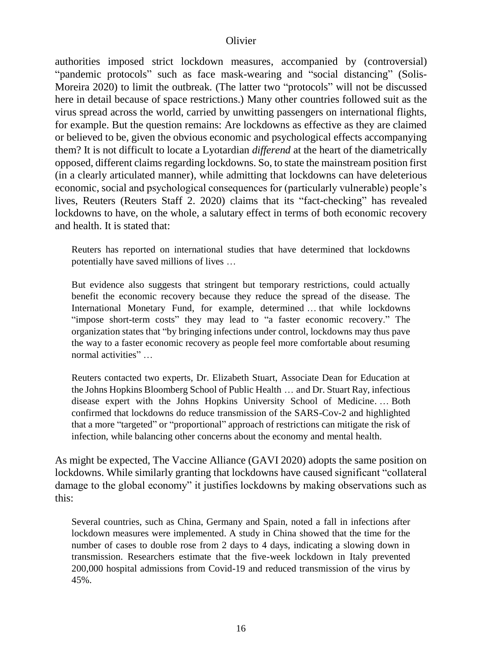authorities imposed strict lockdown measures, accompanied by (controversial) "pandemic protocols" such as face mask-wearing and "social distancing" (Solis-Moreira 2020) to limit the outbreak. (The latter two "protocols" will not be discussed here in detail because of space restrictions.) Many other countries followed suit as the virus spread across the world, carried by unwitting passengers on international flights, for example. But the question remains: Are lockdowns as effective as they are claimed or believed to be, given the obvious economic and psychological effects accompanying them? It is not difficult to locate a Lyotardian *differend* at the heart of the diametrically opposed, different claims regarding lockdowns. So, to state the mainstream position first (in a clearly articulated manner), while admitting that lockdowns can have deleterious economic, social and psychological consequences for (particularly vulnerable) people's lives, Reuters (Reuters Staff 2. 2020) claims that its "fact-checking" has revealed lockdowns to have, on the whole, a salutary effect in terms of both economic recovery and health. It is stated that:

Reuters has reported on international studies that have determined that lockdowns potentially have saved millions of lives …

But evidence also suggests that stringent but temporary restrictions, could actually benefit the economic recovery because they reduce the spread of the disease. The International Monetary Fund, for example, determined … that while lockdowns "impose short-term costs" they may lead to "a faster economic recovery." The organization states that "by bringing infections under control, lockdowns may thus pave the way to a faster economic recovery as people feel more comfortable about resuming normal activities" …

Reuters contacted two experts, Dr. Elizabeth Stuart, Associate Dean for Education at the Johns Hopkins Bloomberg School of Public Health … and Dr. Stuart Ray, infectious disease expert with the Johns Hopkins University School of Medicine. … Both confirmed that lockdowns do reduce transmission of the SARS-Cov-2 and highlighted that a more "targeted" or "proportional" approach of restrictions can mitigate the risk of infection, while balancing other concerns about the economy and mental health.

As might be expected, The Vaccine Alliance (GAVI 2020) adopts the same position on lockdowns. While similarly granting that lockdowns have caused significant "collateral damage to the global economy" it justifies lockdowns by making observations such as this:

Several countries, such as China, Germany and Spain, noted a fall in infections after lockdown measures were implemented. A study in China showed that the time for the number of cases to double rose from 2 days to 4 days, indicating a slowing down in transmission. Researchers estimate that the five-week lockdown in Italy prevented 200,000 hospital admissions from Covid-19 and reduced transmission of the virus by 45%.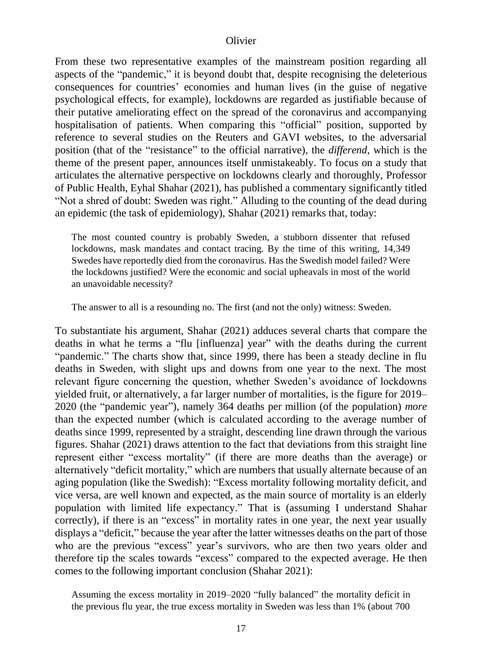From these two representative examples of the mainstream position regarding all aspects of the "pandemic," it is beyond doubt that, despite recognising the deleterious consequences for countries' economies and human lives (in the guise of negative psychological effects, for example), lockdowns are regarded as justifiable because of their putative ameliorating effect on the spread of the coronavirus and accompanying hospitalisation of patients. When comparing this "official" position, supported by reference to several studies on the Reuters and GAVI websites, to the adversarial position (that of the "resistance" to the official narrative), the *differend,* which is the theme of the present paper, announces itself unmistakeably. To focus on a study that articulates the alternative perspective on lockdowns clearly and thoroughly, Professor of Public Health, Eyhal Shahar (2021), has published a commentary significantly titled "Not a shred of doubt: Sweden was right." Alluding to the counting of the dead during an epidemic (the task of epidemiology), Shahar (2021) remarks that, today:

The most counted country is probably Sweden, a stubborn dissenter that refused lockdowns, mask mandates and contact tracing. By the time of this writing, 14,349 Swedes have reportedly died from the coronavirus. Has the Swedish model failed? Were the lockdowns justified? Were the economic and social upheavals in most of the world an unavoidable necessity?

The answer to all is a resounding no. The first (and not the only) witness: Sweden.

To substantiate his argument, Shahar (2021) adduces several charts that compare the deaths in what he terms a "flu [influenza] year" with the deaths during the current "pandemic." The charts show that, since 1999, there has been a steady decline in flu deaths in Sweden, with slight ups and downs from one year to the next. The most relevant figure concerning the question, whether Sweden's avoidance of lockdowns yielded fruit, or alternatively, a far larger number of mortalities, is the figure for 2019– 2020 (the "pandemic year"), namely 364 deaths per million (of the population) *more* than the expected number (which is calculated according to the average number of deaths since 1999, represented by a straight, descending line drawn through the various figures. Shahar (2021) draws attention to the fact that deviations from this straight line represent either "excess mortality" (if there are more deaths than the average) or alternatively "deficit mortality," which are numbers that usually alternate because of an aging population (like the Swedish): "Excess mortality following mortality deficit, and vice versa, are well known and expected, as the main source of mortality is an elderly population with limited life expectancy." That is (assuming I understand Shahar correctly), if there is an "excess" in mortality rates in one year, the next year usually displays a "deficit," because the year after the latter witnesses deaths on the part of those who are the previous "excess" year's survivors, who are then two years older and therefore tip the scales towards "excess" compared to the expected average. He then comes to the following important conclusion (Shahar 2021):

Assuming the excess mortality in 2019–2020 "fully balanced" the mortality deficit in the previous flu year, the true excess mortality in Sweden was less than 1% (about 700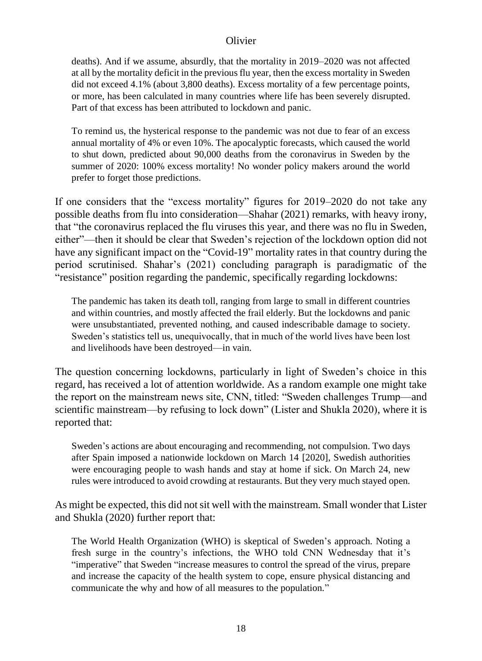deaths). And if we assume, absurdly, that the mortality in 2019–2020 was not affected at all by the mortality deficit in the previous flu year, then the excess mortality in Sweden did not exceed 4.1% (about 3,800 deaths). Excess mortality of a few percentage points, or more, has been calculated in many countries where life has been severely disrupted. Part of that excess has been attributed to lockdown and panic.

To remind us, the hysterical response to the pandemic was not due to fear of an excess annual mortality of 4% or even 10%. The apocalyptic forecasts, which caused the world to shut down, predicted about 90,000 deaths from the coronavirus in Sweden by the summer of 2020: 100% excess mortality! No wonder policy makers around the world prefer to forget those predictions.

If one considers that the "excess mortality" figures for 2019–2020 do not take any possible deaths from flu into consideration—Shahar (2021) remarks, with heavy irony, that "the coronavirus replaced the flu viruses this year, and there was no flu in Sweden, either"—then it should be clear that Sweden's rejection of the lockdown option did not have any significant impact on the "Covid-19" mortality rates in that country during the period scrutinised. Shahar's (2021) concluding paragraph is paradigmatic of the "resistance" position regarding the pandemic, specifically regarding lockdowns:

The pandemic has taken its death toll, ranging from large to small in different countries and within countries, and mostly affected the frail elderly. But the lockdowns and panic were unsubstantiated, prevented nothing, and caused indescribable damage to society. Sweden's statistics tell us, unequivocally, that in much of the world lives have been lost and livelihoods have been destroyed—in vain.

The question concerning lockdowns, particularly in light of Sweden's choice in this regard, has received a lot of attention worldwide. As a random example one might take the report on the mainstream news site, CNN, titled: "Sweden challenges Trump—and scientific mainstream—by refusing to lock down" (Lister and Shukla 2020), where it is reported that:

Sweden's actions are about encouraging and recommending, not compulsion. Two days after Spain imposed a nationwide lockdown on March 14 [2020], Swedish authorities were encouraging people to wash hands and stay at home if sick. On March 24, new rules were introduced to avoid crowding at restaurants. But they very much stayed open.

As might be expected, this did not sit well with the mainstream. Small wonder that Lister and Shukla (2020) further report that:

The World Health Organization (WHO) is skeptical of Sweden's approach. Noting a fresh surge in the country's infections, the WHO told CNN Wednesday that it's "imperative" that Sweden "increase measures to control the spread of the virus, prepare and increase the capacity of the health system to cope, ensure physical distancing and communicate the why and how of all measures to the population."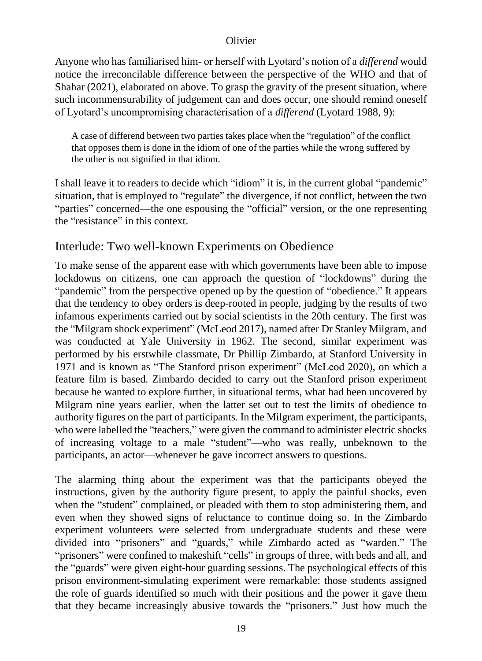Anyone who has familiarised him- or herself with Lyotard's notion of a *differend* would notice the irreconcilable difference between the perspective of the WHO and that of Shahar (2021), elaborated on above. To grasp the gravity of the present situation, where such incommensurability of judgement can and does occur, one should remind oneself of Lyotard's uncompromising characterisation of a *differend* (Lyotard 1988, 9):

A case of differend between two parties takes place when the "regulation" of the conflict that opposes them is done in the idiom of one of the parties while the wrong suffered by the other is not signified in that idiom.

I shall leave it to readers to decide which "idiom" it is, in the current global "pandemic" situation, that is employed to "regulate" the divergence, if not conflict, between the two "parties" concerned—the one espousing the "official" version, or the one representing the "resistance" in this context.

# Interlude: Two well-known Experiments on Obedience

To make sense of the apparent ease with which governments have been able to impose lockdowns on citizens, one can approach the question of "lockdowns" during the "pandemic" from the perspective opened up by the question of "obedience." It appears that the tendency to obey orders is deep-rooted in people, judging by the results of two infamous experiments carried out by social scientists in the 20th century. The first was the "Milgram shock experiment" (McLeod 2017), named after Dr Stanley Milgram, and was conducted at Yale University in 1962. The second, similar experiment was performed by his erstwhile classmate, Dr Phillip Zimbardo, at Stanford University in 1971 and is known as "The Stanford prison experiment" (McLeod 2020), on which a feature film is based. Zimbardo decided to carry out the Stanford prison experiment because he wanted to explore further, in situational terms, what had been uncovered by Milgram nine years earlier, when the latter set out to test the limits of obedience to authority figures on the part of participants. In the Milgram experiment, the participants, who were labelled the "teachers," were given the command to administer electric shocks of increasing voltage to a male "student"—who was really, unbeknown to the participants, an actor—whenever he gave incorrect answers to questions.

The alarming thing about the experiment was that the participants obeyed the instructions, given by the authority figure present, to apply the painful shocks, even when the "student" complained, or pleaded with them to stop administering them, and even when they showed signs of reluctance to continue doing so. In the Zimbardo experiment volunteers were selected from undergraduate students and these were divided into "prisoners" and "guards," while Zimbardo acted as "warden." The "prisoners" were confined to makeshift "cells" in groups of three, with beds and all, and the "guards" were given eight-hour guarding sessions. The psychological effects of this prison environment-simulating experiment were remarkable: those students assigned the role of guards identified so much with their positions and the power it gave them that they became increasingly abusive towards the "prisoners." Just how much the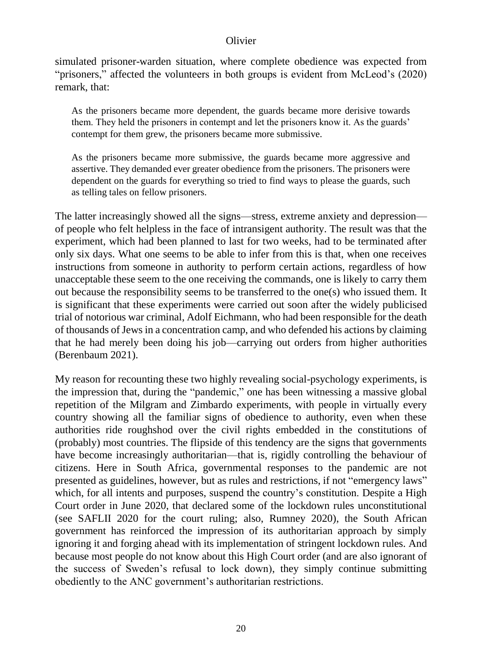simulated prisoner-warden situation, where complete obedience was expected from "prisoners," affected the volunteers in both groups is evident from McLeod's (2020) remark, that:

As the prisoners became more dependent, the guards became more derisive towards them. They held the prisoners in contempt and let the prisoners know it. As the guards' contempt for them grew, the prisoners became more submissive.

As the prisoners became more submissive, the guards became more aggressive and assertive. They demanded ever greater obedience from the prisoners. The prisoners were dependent on the guards for everything so tried to find ways to please the guards, such as telling tales on fellow prisoners.

The latter increasingly showed all the signs—stress, extreme anxiety and depression of people who felt helpless in the face of intransigent authority. The result was that the experiment, which had been planned to last for two weeks, had to be terminated after only six days. What one seems to be able to infer from this is that, when one receives instructions from someone in authority to perform certain actions, regardless of how unacceptable these seem to the one receiving the commands, one is likely to carry them out because the responsibility seems to be transferred to the one(s) who issued them. It is significant that these experiments were carried out soon after the widely publicised trial of notorious war criminal, Adolf Eichmann, who had been responsible for the death of thousands of Jews in a concentration camp, and who defended his actions by claiming that he had merely been doing his job—carrying out orders from higher authorities (Berenbaum 2021).

My reason for recounting these two highly revealing social-psychology experiments, is the impression that, during the "pandemic," one has been witnessing a massive global repetition of the Milgram and Zimbardo experiments, with people in virtually every country showing all the familiar signs of obedience to authority, even when these authorities ride roughshod over the civil rights embedded in the constitutions of (probably) most countries. The flipside of this tendency are the signs that governments have become increasingly authoritarian—that is, rigidly controlling the behaviour of citizens. Here in South Africa, governmental responses to the pandemic are not presented as guidelines, however, but as rules and restrictions, if not "emergency laws" which, for all intents and purposes, suspend the country's constitution. Despite a High Court order in June 2020, that declared some of the lockdown rules unconstitutional (see SAFLII 2020 for the court ruling; also, Rumney 2020), the South African government has reinforced the impression of its authoritarian approach by simply ignoring it and forging ahead with its implementation of stringent lockdown rules. And because most people do not know about this High Court order (and are also ignorant of the success of Sweden's refusal to lock down), they simply continue submitting obediently to the ANC government's authoritarian restrictions.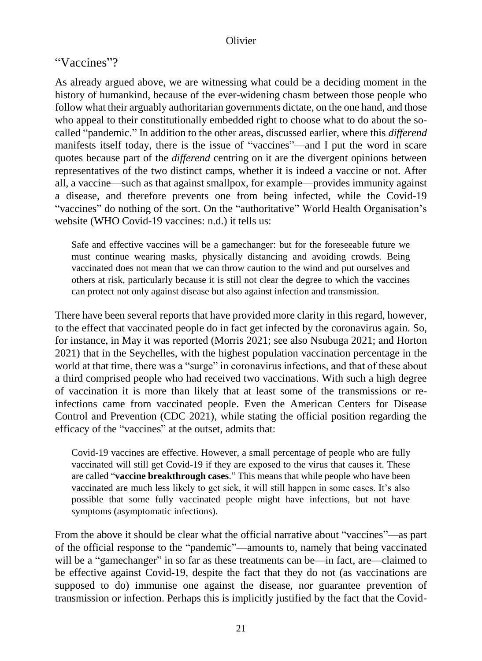### "Vaccines"?

As already argued above, we are witnessing what could be a deciding moment in the history of humankind, because of the ever-widening chasm between those people who follow what their arguably authoritarian governments dictate, on the one hand, and those who appeal to their constitutionally embedded right to choose what to do about the socalled "pandemic." In addition to the other areas, discussed earlier, where this *differend* manifests itself today, there is the issue of "vaccines"—and I put the word in scare quotes because part of the *differend* centring on it are the divergent opinions between representatives of the two distinct camps, whether it is indeed a vaccine or not. After all, a vaccine—such as that against smallpox, for example—provides immunity against a disease, and therefore prevents one from being infected, while the Covid-19 "vaccines" do nothing of the sort. On the "authoritative" World Health Organisation's website (WHO Covid-19 vaccines: n.d.) it tells us:

Safe and effective vaccines will be a gamechanger: but for the foreseeable future we must continue wearing masks, physically distancing and avoiding crowds. Being vaccinated does not mean that we can throw caution to the wind and put ourselves and others at risk, particularly because it is still not clear the degree to which the vaccines can protect not only against disease but also against infection and transmission.

There have been several reports that have provided more clarity in this regard, however, to the effect that vaccinated people do in fact get infected by the coronavirus again. So, for instance, in May it was reported (Morris 2021; see also Nsubuga 2021; and Horton 2021) that in the Seychelles, with the highest population vaccination percentage in the world at that time, there was a "surge" in coronavirus infections, and that of these about a third comprised people who had received two vaccinations. With such a high degree of vaccination it is more than likely that at least some of the transmissions or reinfections came from vaccinated people. Even the American Centers for Disease Control and Prevention (CDC 2021), while stating the official position regarding the efficacy of the "vaccines" at the outset, admits that:

Covid-19 vaccines are effective. However, a small percentage of people who are fully vaccinated will still get Covid-19 if they are exposed to the virus that causes it. These are called "**vaccine breakthrough cases**." This means that while people who have been vaccinated are much less likely to get sick, it will still happen in some cases. It's also possible that some fully vaccinated people might have infections, but not have symptoms (asymptomatic infections).

From the above it should be clear what the official narrative about "vaccines"—as part of the official response to the "pandemic"—amounts to, namely that being vaccinated will be a "gamechanger" in so far as these treatments can be—in fact, are—claimed to be effective against Covid-19, despite the fact that they do not (as vaccinations are supposed to do) immunise one against the disease, nor guarantee prevention of transmission or infection. Perhaps this is implicitly justified by the fact that the Covid-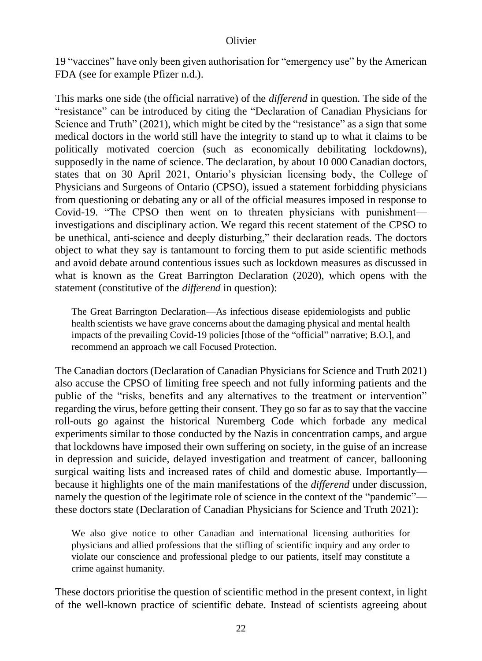19 "vaccines" have only been given authorisation for "emergency use" by the American FDA (see for example Pfizer n.d.).

This marks one side (the official narrative) of the *differend* in question. The side of the "resistance" can be introduced by citing the "Declaration of Canadian Physicians for Science and Truth" (2021), which might be cited by the "resistance" as a sign that some medical doctors in the world still have the integrity to stand up to what it claims to be politically motivated coercion (such as economically debilitating lockdowns), supposedly in the name of science. The declaration, by about 10 000 Canadian doctors, states that on 30 April 2021, Ontario's physician licensing body, the College of Physicians and Surgeons of Ontario (CPSO), issued a statement forbidding physicians from questioning or debating any or all of the official measures imposed in response to Covid-19. "The CPSO then went on to threaten physicians with punishment investigations and disciplinary action. We regard this recent statement of the CPSO to be unethical, anti-science and deeply disturbing," their declaration reads. The doctors object to what they say is tantamount to forcing them to put aside scientific methods and avoid debate around contentious issues such as lockdown measures as discussed in what is known as the Great Barrington Declaration (2020), which opens with the statement (constitutive of the *differend* in question):

The Great Barrington Declaration—As infectious disease epidemiologists and public health scientists we have grave concerns about the damaging physical and mental health impacts of the prevailing Covid-19 policies [those of the "official" narrative; B.O.], and recommend an approach we call Focused Protection.

The Canadian doctors (Declaration of Canadian Physicians for Science and Truth 2021) also accuse the CPSO of limiting free speech and not fully informing patients and the public of the "risks, benefits and any alternatives to the treatment or intervention" regarding the virus, before getting their consent. They go so far as to say that the vaccine roll-outs go against the historical Nuremberg Code which forbade any medical experiments similar to those conducted by the Nazis in concentration camps, and argue that lockdowns have imposed their own suffering on society, in the guise of an increase in depression and suicide, delayed investigation and treatment of cancer, ballooning surgical waiting lists and increased rates of child and domestic abuse. Importantly because it highlights one of the main manifestations of the *differend* under discussion, namely the question of the legitimate role of science in the context of the "pandemic" these doctors state (Declaration of Canadian Physicians for Science and Truth 2021):

We also give notice to other Canadian and international licensing authorities for physicians and allied professions that the stifling of scientific inquiry and any order to violate our conscience and professional pledge to our patients, itself may constitute a crime against humanity.

These doctors prioritise the question of scientific method in the present context, in light of the well-known practice of scientific debate. Instead of scientists agreeing about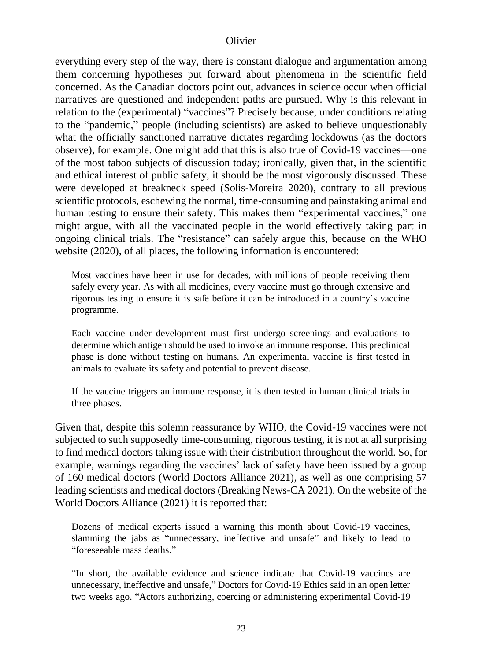everything every step of the way, there is constant dialogue and argumentation among them concerning hypotheses put forward about phenomena in the scientific field concerned. As the Canadian doctors point out, advances in science occur when official narratives are questioned and independent paths are pursued. Why is this relevant in relation to the (experimental) "vaccines"? Precisely because, under conditions relating to the "pandemic," people (including scientists) are asked to believe unquestionably what the officially sanctioned narrative dictates regarding lockdowns (as the doctors observe), for example. One might add that this is also true of Covid-19 vaccines—one of the most taboo subjects of discussion today; ironically, given that, in the scientific and ethical interest of public safety, it should be the most vigorously discussed. These were developed at breakneck speed (Solis-Moreira 2020), contrary to all previous scientific protocols, eschewing the normal, time-consuming and painstaking animal and human testing to ensure their safety. This makes them "experimental vaccines," one might argue, with all the vaccinated people in the world effectively taking part in ongoing clinical trials. The "resistance" can safely argue this, because on the WHO website (2020), of all places, the following information is encountered:

Most vaccines have been in use for decades, with millions of people receiving them safely every year. As with all medicines, every vaccine must go through extensive and rigorous testing to ensure it is safe before it can be introduced in a country's vaccine programme.

Each vaccine under development must first undergo screenings and evaluations to determine which antigen should be used to invoke an immune response. This preclinical phase is done without testing on humans. An experimental vaccine is first tested in animals to evaluate its safety and potential to prevent disease.

If the vaccine triggers an immune response, it is then tested in human clinical trials in three phases.

Given that, despite this solemn reassurance by WHO, the Covid-19 vaccines were not subjected to such supposedly time-consuming, rigorous testing, it is not at all surprising to find medical doctors taking issue with their distribution throughout the world. So, for example, warnings regarding the vaccines' lack of safety have been issued by a group of 160 medical doctors (World Doctors Alliance 2021), as well as one comprising 57 leading scientists and medical doctors (Breaking News-CA 2021). On the website of the World Doctors Alliance (2021) it is reported that:

Dozens of medical experts issued a warning this month about Covid-19 vaccines, slamming the jabs as "unnecessary, ineffective and unsafe" and likely to lead to "foreseeable mass deaths."

"In short, the available evidence and science indicate that Covid-19 vaccines are unnecessary, ineffective and unsafe," Doctors for Covid-19 Ethics said in an open letter two weeks ago. "Actors authorizing, coercing or administering experimental Covid-19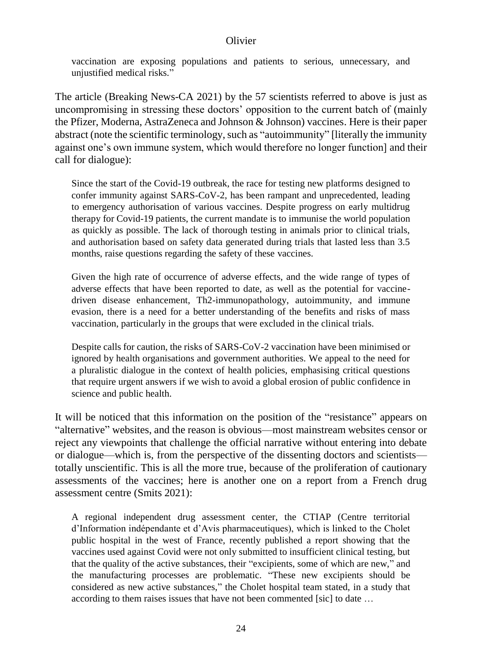vaccination are exposing populations and patients to serious, unnecessary, and unjustified medical risks."

The article (Breaking News-CA 2021) by the 57 scientists referred to above is just as uncompromising in stressing these doctors' opposition to the current batch of (mainly the Pfizer, Moderna, AstraZeneca and Johnson & Johnson) vaccines. Here is their paper abstract (note the scientific terminology, such as "autoimmunity" [literally the immunity against one's own immune system, which would therefore no longer function] and their call for dialogue):

Since the start of the Covid-19 outbreak, the race for testing new platforms designed to confer immunity against SARS-CoV-2, has been rampant and unprecedented, leading to emergency authorisation of various vaccines. Despite progress on early multidrug therapy for Covid-19 patients, the current mandate is to immunise the world population as quickly as possible. The lack of thorough testing in animals prior to clinical trials, and authorisation based on safety data generated during trials that lasted less than 3.5 months, raise questions regarding the safety of these vaccines.

Given the high rate of occurrence of adverse effects, and the wide range of types of adverse effects that have been reported to date, as well as the potential for vaccinedriven disease enhancement, Th2-immunopathology, autoimmunity, and immune evasion, there is a need for a better understanding of the benefits and risks of mass vaccination, particularly in the groups that were excluded in the clinical trials.

Despite calls for caution, the risks of SARS-CoV-2 vaccination have been minimised or ignored by health organisations and government authorities. We appeal to the need for a pluralistic dialogue in the context of health policies, emphasising critical questions that require urgent answers if we wish to avoid a global erosion of public confidence in science and public health.

It will be noticed that this information on the position of the "resistance" appears on "alternative" websites, and the reason is obvious—most mainstream websites censor or reject any viewpoints that challenge the official narrative without entering into debate or dialogue—which is, from the perspective of the dissenting doctors and scientists totally unscientific. This is all the more true, because of the proliferation of cautionary assessments of the vaccines; here is another one on a report from a French drug assessment centre (Smits 2021):

A regional independent drug assessment center, the CTIAP (Centre territorial d'Information indépendante et d'Avis pharmaceutiques), which is linked to the Cholet public hospital in the west of France, recently published a report showing that the vaccines used against Covid were not only submitted to insufficient clinical testing, but that the quality of the active substances, their "excipients, some of which are new," and the manufacturing processes are problematic. "These new excipients should be considered as new active substances," the Cholet hospital team stated, in a study that according to them raises issues that have not been commented [sic] to date …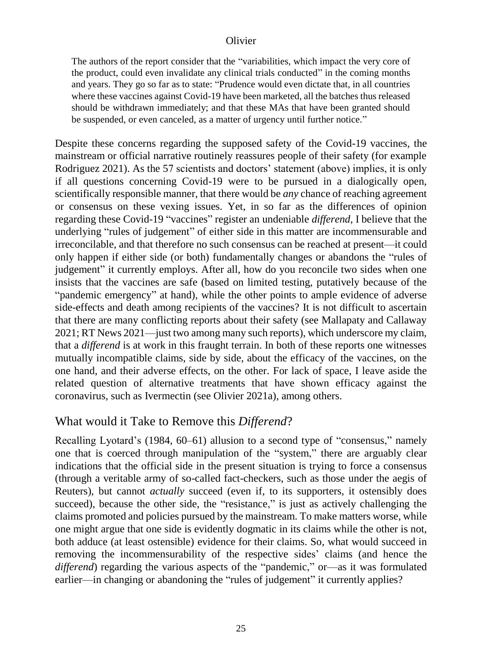The authors of the report consider that the "variabilities, which impact the very core of the product, could even invalidate any clinical trials conducted" in the coming months and years. They go so far as to state: "Prudence would even dictate that, in all countries where these vaccines against Covid-19 have been marketed, all the batches thus released should be withdrawn immediately; and that these MAs that have been granted should be suspended, or even canceled, as a matter of urgency until further notice."

Despite these concerns regarding the supposed safety of the Covid-19 vaccines, the mainstream or official narrative routinely reassures people of their safety (for example Rodriguez 2021). As the 57 scientists and doctors' statement (above) implies, it is only if all questions concerning Covid-19 were to be pursued in a dialogically open, scientifically responsible manner, that there would be *any* chance of reaching agreement or consensus on these vexing issues. Yet, in so far as the differences of opinion regarding these Covid-19 "vaccines" register an undeniable *differend*, I believe that the underlying "rules of judgement" of either side in this matter are incommensurable and irreconcilable, and that therefore no such consensus can be reached at present—it could only happen if either side (or both) fundamentally changes or abandons the "rules of judgement" it currently employs. After all, how do you reconcile two sides when one insists that the vaccines are safe (based on limited testing, putatively because of the "pandemic emergency" at hand), while the other points to ample evidence of adverse side-effects and death among recipients of the vaccines? It is not difficult to ascertain that there are many conflicting reports about their safety (see Mallapaty and Callaway 2021; RT News 2021—just two among many such reports), which underscore my claim, that a *differend* is at work in this fraught terrain. In both of these reports one witnesses mutually incompatible claims, side by side, about the efficacy of the vaccines, on the one hand, and their adverse effects, on the other. For lack of space, I leave aside the related question of alternative treatments that have shown efficacy against the coronavirus, such as Ivermectin (see Olivier 2021a), among others.

## What would it Take to Remove this *Differend*?

Recalling Lyotard's (1984, 60–61) allusion to a second type of "consensus," namely one that is coerced through manipulation of the "system," there are arguably clear indications that the official side in the present situation is trying to force a consensus (through a veritable army of so-called fact-checkers, such as those under the aegis of Reuters), but cannot *actually* succeed (even if, to its supporters, it ostensibly does succeed), because the other side, the "resistance," is just as actively challenging the claims promoted and policies pursued by the mainstream. To make matters worse, while one might argue that one side is evidently dogmatic in its claims while the other is not, both adduce (at least ostensible) evidence for their claims. So, what would succeed in removing the incommensurability of the respective sides' claims (and hence the *differend*) regarding the various aspects of the "pandemic," or—as it was formulated earlier—in changing or abandoning the "rules of judgement" it currently applies?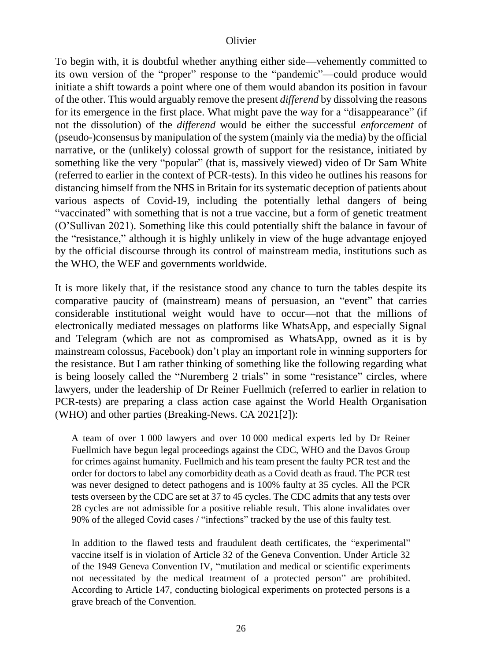To begin with, it is doubtful whether anything either side—vehemently committed to its own version of the "proper" response to the "pandemic"—could produce would initiate a shift towards a point where one of them would abandon its position in favour of the other. This would arguably remove the present *differend* by dissolving the reasons for its emergence in the first place. What might pave the way for a "disappearance" (if not the dissolution) of the *differend* would be either the successful *enforcement* of (pseudo-)consensus by manipulation of the system (mainly via the media) by the official narrative, or the (unlikely) colossal growth of support for the resistance, initiated by something like the very "popular" (that is, massively viewed) video of Dr Sam White (referred to earlier in the context of PCR-tests). In this video he outlines his reasons for distancing himself from the NHS in Britain for its systematic deception of patients about various aspects of Covid-19, including the potentially lethal dangers of being "vaccinated" with something that is not a true vaccine, but a form of genetic treatment (O'Sullivan 2021). Something like this could potentially shift the balance in favour of the "resistance," although it is highly unlikely in view of the huge advantage enjoyed by the official discourse through its control of mainstream media, institutions such as the WHO, the WEF and governments worldwide.

It is more likely that, if the resistance stood any chance to turn the tables despite its comparative paucity of (mainstream) means of persuasion, an "event" that carries considerable institutional weight would have to occur—not that the millions of electronically mediated messages on platforms like WhatsApp, and especially Signal and Telegram (which are not as compromised as WhatsApp, owned as it is by mainstream colossus, Facebook) don't play an important role in winning supporters for the resistance. But I am rather thinking of something like the following regarding what is being loosely called the "Nuremberg 2 trials" in some "resistance" circles, where lawyers, under the leadership of Dr Reiner Fuellmich (referred to earlier in relation to PCR-tests) are preparing a class action case against the World Health Organisation (WHO) and other parties (Breaking-News. CA 2021[2]):

A team of over 1 000 lawyers and over 10 000 medical experts led by Dr Reiner Fuellmich have begun legal proceedings against the CDC, WHO and the Davos Group for crimes against humanity. Fuellmich and his team present the faulty PCR test and the order for doctors to label any comorbidity death as a Covid death as fraud. The PCR test was never designed to detect pathogens and is 100% faulty at 35 cycles. All the PCR tests overseen by the CDC are set at 37 to 45 cycles. The CDC admits that any tests over 28 cycles are not admissible for a positive reliable result. This alone invalidates over 90% of the alleged Covid cases / "infections" tracked by the use of this faulty test.

In addition to the flawed tests and fraudulent death certificates, the "experimental" vaccine itself is in violation of Article 32 of the Geneva Convention. Under Article 32 of the 1949 Geneva Convention IV, "mutilation and medical or scientific experiments not necessitated by the medical treatment of a protected person" are prohibited. According to Article 147, conducting biological experiments on protected persons is a grave breach of the Convention.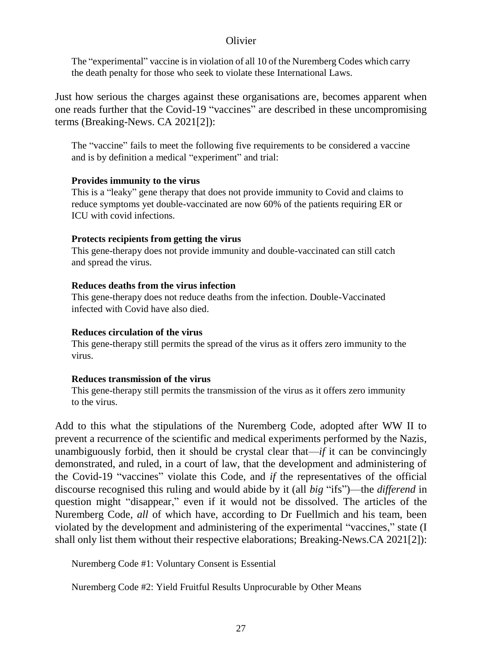The "experimental" vaccine is in violation of all 10 of the Nuremberg Codes which carry the death penalty for those who seek to violate these International Laws.

Just how serious the charges against these organisations are, becomes apparent when one reads further that the Covid-19 "vaccines" are described in these uncompromising terms (Breaking-News. CA 2021[2]):

The "vaccine" fails to meet the following five requirements to be considered a vaccine and is by definition a medical "experiment" and trial:

#### **Provides immunity to the virus**

This is a "leaky" gene therapy that does not provide immunity to Covid and claims to reduce symptoms yet double-vaccinated are now 60% of the patients requiring ER or ICU with covid infections.

#### **Protects recipients from getting the virus**

This gene-therapy does not provide immunity and double-vaccinated can still catch and spread the virus.

#### **Reduces deaths from the virus infection**

This gene-therapy does not reduce deaths from the infection. Double-Vaccinated infected with Covid have also died.

#### **Reduces circulation of the virus**

This gene-therapy still permits the spread of the virus as it offers zero immunity to the virus.

#### **Reduces transmission of the virus**

This gene-therapy still permits the transmission of the virus as it offers zero immunity to the virus.

Add to this what the stipulations of the Nuremberg Code, adopted after WW II to prevent a recurrence of the scientific and medical experiments performed by the Nazis, unambiguously forbid, then it should be crystal clear that—*if* it can be convincingly demonstrated, and ruled, in a court of law, that the development and administering of the Covid-19 "vaccines" violate this Code, and *if* the representatives of the official discourse recognised this ruling and would abide by it (all *big* "ifs")—the *differend* in question might "disappear," even if it would not be dissolved. The articles of the Nuremberg Code, *all* of which have, according to Dr Fuellmich and his team, been violated by the development and administering of the experimental "vaccines," state (I shall only list them without their respective elaborations; Breaking-News.CA 2021[2]):

Nuremberg Code #1: Voluntary Consent is Essential

Nuremberg Code #2: Yield Fruitful Results Unprocurable by Other Means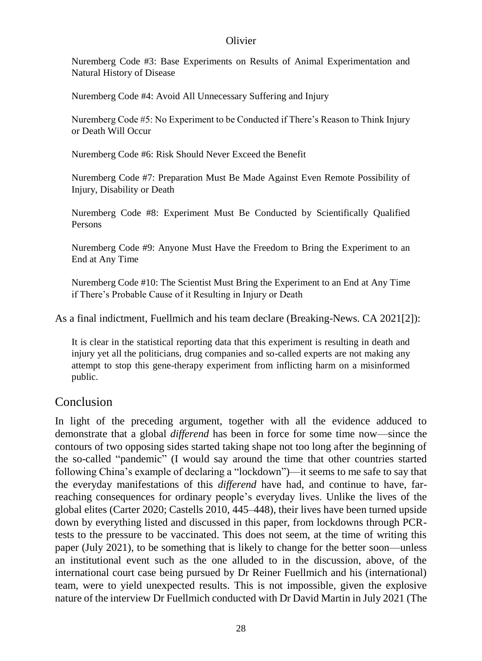Nuremberg Code #3: Base Experiments on Results of Animal Experimentation and Natural History of Disease

Nuremberg Code #4: Avoid All Unnecessary Suffering and Injury

Nuremberg Code #5: No Experiment to be Conducted if There's Reason to Think Injury or Death Will Occur

Nuremberg Code #6: Risk Should Never Exceed the Benefit

Nuremberg Code #7: Preparation Must Be Made Against Even Remote Possibility of Injury, Disability or Death

Nuremberg Code #8: Experiment Must Be Conducted by Scientifically Qualified Persons

Nuremberg Code #9: Anyone Must Have the Freedom to Bring the Experiment to an End at Any Time

Nuremberg Code #10: The Scientist Must Bring the Experiment to an End at Any Time if There's Probable Cause of it Resulting in Injury or Death

As a final indictment, Fuellmich and his team declare (Breaking-News. CA 2021[2]):

It is clear in the statistical reporting data that this experiment is resulting in death and injury yet all the politicians, drug companies and so-called experts are not making any attempt to stop this gene-therapy experiment from inflicting harm on a misinformed public.

## Conclusion

In light of the preceding argument, together with all the evidence adduced to demonstrate that a global *differend* has been in force for some time now—since the contours of two opposing sides started taking shape not too long after the beginning of the so-called "pandemic" (I would say around the time that other countries started following China's example of declaring a "lockdown")—it seems to me safe to say that the everyday manifestations of this *differend* have had, and continue to have, farreaching consequences for ordinary people's everyday lives. Unlike the lives of the global elites (Carter 2020; Castells 2010, 445–448), their lives have been turned upside down by everything listed and discussed in this paper, from lockdowns through PCRtests to the pressure to be vaccinated. This does not seem, at the time of writing this paper (July 2021), to be something that is likely to change for the better soon—unless an institutional event such as the one alluded to in the discussion, above, of the international court case being pursued by Dr Reiner Fuellmich and his (international) team, were to yield unexpected results. This is not impossible, given the explosive nature of the interview Dr Fuellmich conducted with Dr David Martin in July 2021 (The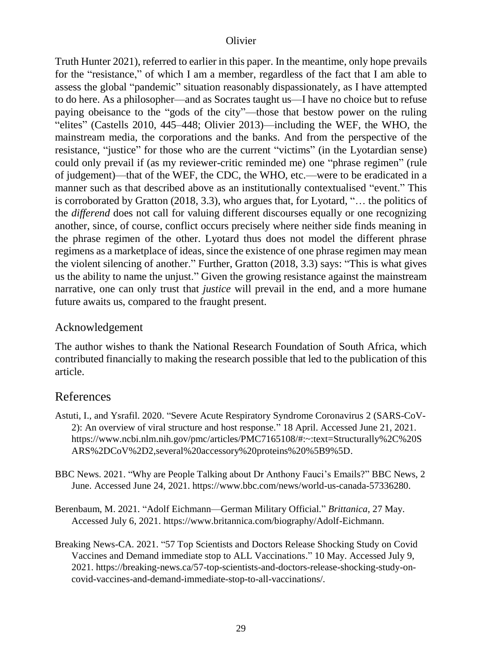Truth Hunter 2021), referred to earlier in this paper. In the meantime, only hope prevails for the "resistance," of which I am a member, regardless of the fact that I am able to assess the global "pandemic" situation reasonably dispassionately, as I have attempted to do here. As a philosopher—and as Socrates taught us—I have no choice but to refuse paying obeisance to the "gods of the city"—those that bestow power on the ruling "elites" (Castells 2010, 445–448; Olivier 2013)—including the WEF, the WHO, the mainstream media, the corporations and the banks. And from the perspective of the resistance, "justice" for those who are the current "victims" (in the Lyotardian sense) could only prevail if (as my reviewer-critic reminded me) one "phrase regimen" (rule of judgement)—that of the WEF, the CDC, the WHO, etc.—were to be eradicated in a manner such as that described above as an institutionally contextualised "event." This is corroborated by Gratton (2018, 3.3), who argues that, for Lyotard, "… the politics of the *differend* does not call for valuing different discourses equally or one recognizing another, since, of course, conflict occurs precisely where neither side finds meaning in the phrase regimen of the other. Lyotard thus does not model the different phrase regimens as a marketplace of ideas, since the existence of one phrase regimen may mean the violent silencing of another." Further, Gratton (2018, 3.3) says: "This is what gives us the ability to name the unjust." Given the growing resistance against the mainstream narrative, one can only trust that *justice* will prevail in the end, and a more humane future awaits us, compared to the fraught present.

### Acknowledgement

The author wishes to thank the National Research Foundation of South Africa, which contributed financially to making the research possible that led to the publication of this article.

## References

- Astuti, I., and Ysrafil. 2020. "Severe Acute Respiratory Syndrome Coronavirus 2 (SARS-CoV-2): An overview of viral structure and host response." 18 April. Accessed June 21, 2021. [https://www.ncbi.nlm.nih.gov/pmc/articles/PMC7165108/#:~:text=Structurally%2C%20S](https://www.ncbi.nlm.nih.gov/pmc/articles/PMC7165108/#:~:text=Structurally%2C%20SARS%2DCoV%2D2,several%20accessory%20proteins%20%5B9%5D) [ARS%2DCoV%2D2,several%20accessory%20proteins%20%5B9%5D.](https://www.ncbi.nlm.nih.gov/pmc/articles/PMC7165108/#:~:text=Structurally%2C%20SARS%2DCoV%2D2,several%20accessory%20proteins%20%5B9%5D)
- BBC News. 2021. "Why are People Talking about Dr Anthony Fauci's Emails?" BBC News, 2 June. Accessed June 24, 2021. [https://www.bbc.com/news/world-us-canada-57336280.](https://www.bbc.com/news/world-us-canada-57336280)
- Berenbaum, M. 2021. "Adolf Eichmann—German Military Official." *Brittanica*, 27 May. Accessed July 6, 2021. [https://www.britannica.com/biography/Adolf-Eichmann.](https://www.britannica.com/biography/Adolf-Eichmann)
- Breaking News-CA. 2021. "57 Top Scientists and Doctors Release Shocking Study on Covid Vaccines and Demand immediate stop to ALL Vaccinations." 10 May. Accessed July 9, 2021. [https://breaking-news.ca/57-top-scientists-and-doctors-release-shocking-study-on](https://breaking-news.ca/57-top-scientists-and-doctors-release-shocking-study-on-covid-vaccines-and-demand-immediate-stop-to-all-vaccinations/)[covid-vaccines-and-demand-immediate-stop-to-all-vaccinations/.](https://breaking-news.ca/57-top-scientists-and-doctors-release-shocking-study-on-covid-vaccines-and-demand-immediate-stop-to-all-vaccinations/)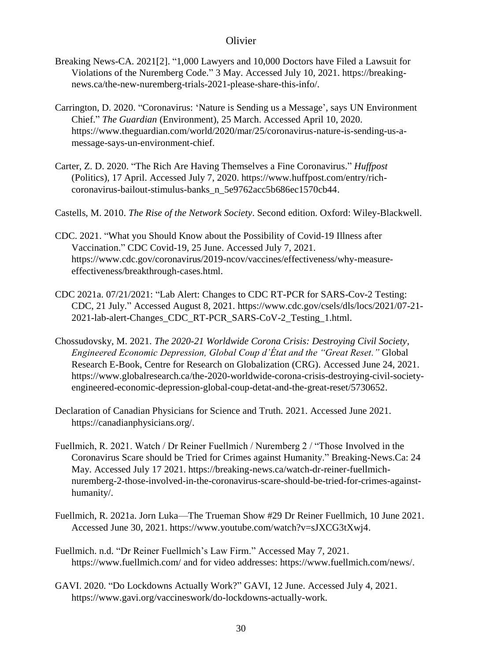- Breaking News-CA. 2021[2]. "1,000 Lawyers and 10,000 Doctors have Filed a Lawsuit for Violations of the Nuremberg Code." 3 May. Accessed July 10, 2021. [https://breaking](https://breaking-news.ca/the-new-nuremberg-trials-2021-please-share-this-info/)[news.ca/the-new-nuremberg-trials-2021-please-share-this-info/.](https://breaking-news.ca/the-new-nuremberg-trials-2021-please-share-this-info/)
- Carrington, D. 2020. "Coronavirus: 'Nature is Sending us a Message', says UN Environment Chief." *The Guardian* (Environment), 25 March. Accessed April 10, 2020. [https://www.theguardian.com/world/2020/mar/25/coronavirus-nature-is-sending-us-a](https://www.theguardian.com/world/2020/mar/25/coronavirus-nature-is-sending-us-a-message-says-un-environment-chief)[message-says-un-environment-chief.](https://www.theguardian.com/world/2020/mar/25/coronavirus-nature-is-sending-us-a-message-says-un-environment-chief)
- Carter, Z. D. 2020. "The Rich Are Having Themselves a Fine Coronavirus." *Huffpost* (Politics), 17 April. Accessed July 7, 2020[. https://www.huffpost.com/entry/rich](https://www.huffpost.com/entry/rich-coronavirus-bailout-stimulus-banks_n_5e9762acc5b686ec1570cb44)[coronavirus-bailout-stimulus-banks\\_n\\_5e9762acc5b686ec1570cb44.](https://www.huffpost.com/entry/rich-coronavirus-bailout-stimulus-banks_n_5e9762acc5b686ec1570cb44)
- Castells, M. 2010. *The Rise of the Network Society*. Second edition. Oxford: Wiley-Blackwell.
- CDC. 2021. "What you Should Know about the Possibility of Covid-19 Illness after Vaccination." CDC Covid-19, 25 June. Accessed July 7, 2021. [https://www.cdc.gov/coronavirus/2019-ncov/vaccines/effectiveness/why-measure](https://www.cdc.gov/coronavirus/2019-ncov/vaccines/effectiveness/why-measure-effectiveness/breakthrough-cases.html)[effectiveness/breakthrough-cases.html.](https://www.cdc.gov/coronavirus/2019-ncov/vaccines/effectiveness/why-measure-effectiveness/breakthrough-cases.html)
- CDC 2021a. 07/21/2021: "Lab Alert: Changes to CDC RT-PCR for SARS-Cov-2 Testing: CDC, 21 July." Accessed August 8, 2021[. https://www.cdc.gov/csels/dls/locs/2021/07-21-](https://www.cdc.gov/csels/dls/locs/2021/07-21-2021-lab-alert-Changes_CDC_RT-PCR_SARS-CoV-2_Testing_1.html) [2021-lab-alert-Changes\\_CDC\\_RT-PCR\\_SARS-CoV-2\\_Testing\\_1.html.](https://www.cdc.gov/csels/dls/locs/2021/07-21-2021-lab-alert-Changes_CDC_RT-PCR_SARS-CoV-2_Testing_1.html)
- Chossudovsky, M. 2021. *The 2020-21 Worldwide Corona Crisis: Destroying Civil Society, Engineered Economic Depression, Global Coup d'État and the "Great Reset."* Global Research E-Book, Centre for Research on Globalization (CRG). Accessed June 24, 2021. [https://www.globalresearch.ca/the-2020-worldwide-corona-crisis-destroying-civil-society](https://www.globalresearch.ca/the-2020-worldwide-corona-crisis-destroying-civil-society-engineered-economic-depression-global-coup-detat-and-the-great-reset/5730652)[engineered-economic-depression-global-coup-detat-and-the-great-reset/5730652.](https://www.globalresearch.ca/the-2020-worldwide-corona-crisis-destroying-civil-society-engineered-economic-depression-global-coup-detat-and-the-great-reset/5730652)
- Declaration of Canadian Physicians for Science and Truth. 2021. Accessed June 2021. [https://canadianphysicians.org/.](https://canadianphysicians.org/)
- Fuellmich, R. 2021. Watch / Dr Reiner Fuellmich / Nuremberg 2 / "Those Involved in the Coronavirus Scare should be Tried for Crimes against Humanity." Breaking-News.Ca: 24 May. Accessed July 17 2021. [https://breaking-news.ca/watch-dr-reiner-fuellmich](https://breaking-news.ca/watch-dr-reiner-fuellmich-nuremberg-2-those-involved-in-the-coronavirus-scare-should-be-tried-for-crimes-against-humanity/)[nuremberg-2-those-involved-in-the-coronavirus-scare-should-be-tried-for-crimes-against](https://breaking-news.ca/watch-dr-reiner-fuellmich-nuremberg-2-those-involved-in-the-coronavirus-scare-should-be-tried-for-crimes-against-humanity/)[humanity/.](https://breaking-news.ca/watch-dr-reiner-fuellmich-nuremberg-2-those-involved-in-the-coronavirus-scare-should-be-tried-for-crimes-against-humanity/)
- Fuellmich, R. 2021a. Jorn Luka—The Trueman Show #29 Dr Reiner Fuellmich, 10 June 2021. Accessed June 30, 2021. [https://www.youtube.com/watch?v=sJXCG3tXwj4.](https://www.youtube.com/watch?v=sJXCG3tXwj4)
- Fuellmich. n.d. "Dr Reiner Fuellmich's Law Firm." Accessed May 7, 2021. <https://www.fuellmich.com/> and for video addresses: [https://www.fuellmich.com/news/.](https://www.fuellmich.com/news/)
- GAVI. 2020. "Do Lockdowns Actually Work?" GAVI, 12 June. Accessed July 4, 2021. [https://www.gavi.org/vaccineswork/do-lockdowns-actually-work.](https://www.gavi.org/vaccineswork/do-lockdowns-actually-work)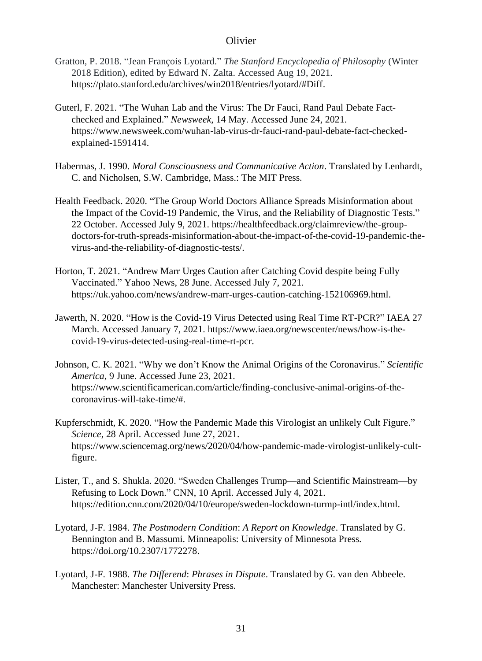- Gratton, P. 2018. "Jean François Lyotard." *The Stanford Encyclopedia of Philosophy* (Winter 2018 Edition), edited by Edward N. Zalta. Accessed Aug 19, 2021. [https://plato.stanford.edu/archives/win2018/entries/lyotard/#Diff.](https://plato.stanford.edu/archives/win2018/entries/lyotard/#Diff)
- Guterl, F. 2021. "The Wuhan Lab and the Virus: The Dr Fauci, Rand Paul Debate Factchecked and Explained." *Newsweek*, 14 May. Accessed June 24, 2021. [https://www.newsweek.com/wuhan-lab-virus-dr-fauci-rand-paul-debate-fact-checked](https://www.newsweek.com/wuhan-lab-virus-dr-fauci-rand-paul-debate-fact-checked-explained-1591414)[explained-1591414.](https://www.newsweek.com/wuhan-lab-virus-dr-fauci-rand-paul-debate-fact-checked-explained-1591414)
- Habermas, J. 1990. *Moral Consciousness and Communicative Action*. Translated by Lenhardt, C. and Nicholsen, S.W. Cambridge, Mass.: The MIT Press.
- Health Feedback. 2020. "The Group World Doctors Alliance Spreads Misinformation about the Impact of the Covid-19 Pandemic, the Virus, and the Reliability of Diagnostic Tests." 22 October. Accessed July 9, 2021. [https://healthfeedback.org/claimreview/the-group](https://healthfeedback.org/claimreview/the-group-doctors-for-truth-spreads-misinformation-about-the-impact-of-the-covid-19-pandemic-the-virus-and-the-reliability-of-diagnostic-tests/)[doctors-for-truth-spreads-misinformation-about-the-impact-of-the-covid-19-pandemic-the](https://healthfeedback.org/claimreview/the-group-doctors-for-truth-spreads-misinformation-about-the-impact-of-the-covid-19-pandemic-the-virus-and-the-reliability-of-diagnostic-tests/)[virus-and-the-reliability-of-diagnostic-tests/.](https://healthfeedback.org/claimreview/the-group-doctors-for-truth-spreads-misinformation-about-the-impact-of-the-covid-19-pandemic-the-virus-and-the-reliability-of-diagnostic-tests/)
- Horton, T. 2021. "Andrew Marr Urges Caution after Catching Covid despite being Fully Vaccinated." Yahoo News, 28 June. Accessed July 7, 2021. [https://uk.yahoo.com/news/andrew-marr-urges-caution-catching-152106969.html.](https://uk.yahoo.com/news/andrew-marr-urges-caution-catching-152106969.html)
- Jawerth, N. 2020. "How is the Covid-19 Virus Detected using Real Time RT-PCR?" IAEA 27 March. Accessed January 7, 2021. [https://www.iaea.org/newscenter/news/how-is-the](https://www.iaea.org/newscenter/news/how-is-the-covid-19-virus-detected-using-real-time-rt-pcr)[covid-19-virus-detected-using-real-time-rt-pcr.](https://www.iaea.org/newscenter/news/how-is-the-covid-19-virus-detected-using-real-time-rt-pcr)
- Johnson, C. K. 2021. "Why we don't Know the Animal Origins of the Coronavirus." *Scientific America*, 9 June. Accessed June 23, 2021. [https://www.scientificamerican.com/article/finding-conclusive-animal-origins-of-the](https://www.scientificamerican.com/article/finding-conclusive-animal-origins-of-the-coronavirus-will-take-time/)[coronavirus-will-take-time/#.](https://www.scientificamerican.com/article/finding-conclusive-animal-origins-of-the-coronavirus-will-take-time/)
- Kupferschmidt, K. 2020. "How the Pandemic Made this Virologist an unlikely Cult Figure." *Science*, 28 April. Accessed June 27, 2021. [https://www.sciencemag.org/news/2020/04/how-pandemic-made-virologist-unlikely-cult](https://www.sciencemag.org/news/2020/04/how-pandemic-made-virologist-unlikely-cult-figure)[figure.](https://www.sciencemag.org/news/2020/04/how-pandemic-made-virologist-unlikely-cult-figure)
- Lister, T., and S. Shukla. 2020. "Sweden Challenges Trump—and Scientific Mainstream—by Refusing to Lock Down." CNN, 10 April. Accessed July 4, 2021. [https://edition.cnn.com/2020/04/10/europe/sweden-lockdown-turmp-intl/index.html.](https://edition.cnn.com/2020/04/10/europe/sweden-lockdown-turmp-intl/index.html)
- Lyotard, J-F. 1984. *The Postmodern Condition*: *A Report on Knowledge*. Translated by G. Bennington and B. Massumi. Minneapolis: University of Minnesota Press. [https://doi.org/10.2307/1772278.](https://doi.org/10.2307/1772278)
- Lyotard, J-F. 1988. *The Differend*: *Phrases in Dispute*. Translated by G. van den Abbeele. Manchester: Manchester University Press.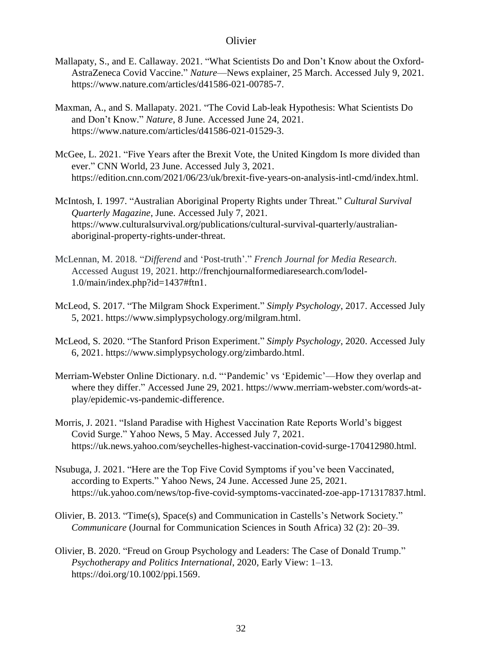- Mallapaty, S., and E. Callaway. 2021. "What Scientists Do and Don't Know about the Oxford-AstraZeneca Covid Vaccine." *Nature*—News explainer, 25 March. Accessed July 9, 2021. [https://www.nature.com/articles/d41586-021-00785-7.](https://www.nature.com/articles/d41586-021-00785-7)
- Maxman, A., and S. Mallapaty. 2021. "The Covid Lab-leak Hypothesis: What Scientists Do and Don't Know." *Nature*, 8 June. Accessed June 24, 2021. [https://www.nature.com/articles/d41586-021-01529-3.](https://www.nature.com/articles/d41586-021-01529-3)
- McGee, L. 2021. "Five Years after the Brexit Vote, the United Kingdom Is more divided than ever." CNN World, 23 June. Accessed July 3, 2021. [https://edition.cnn.com/2021/06/23/uk/brexit-five-years-on-analysis-intl-cmd/index.html.](https://edition.cnn.com/2021/06/23/uk/brexit-five-years-on-analysis-intl-cmd/index.html)
- McIntosh, I. 1997. "Australian Aboriginal Property Rights under Threat." *Cultural Survival Quarterly Magazine*, June. Accessed July 7, 2021. [https://www.culturalsurvival.org/publications/cultural-survival-quarterly/australian](https://www.culturalsurvival.org/publications/cultural-survival-quarterly/australian-aboriginal-property-rights-under-threat)[aboriginal-property-rights-under-threat.](https://www.culturalsurvival.org/publications/cultural-survival-quarterly/australian-aboriginal-property-rights-under-threat)
- McLennan, M. 2018. "*Differend* and 'Post-truth'." *French Journal for Media Research.* Accessed August 19, 2021. [http://frenchjournalformediaresearch.com/lodel-](http://frenchjournalformediaresearch.com/lodel-1.0/main/index.php?id=1437#ftn1)[1.0/main/index.php?id=1437#ftn1.](http://frenchjournalformediaresearch.com/lodel-1.0/main/index.php?id=1437#ftn1)
- McLeod, S. 2017. "The Milgram Shock Experiment." *Simply Psychology*, 2017. Accessed July 5, 2021[. https://www.simplypsychology.org/milgram.html.](https://www.simplypsychology.org/milgram.html)
- McLeod, S. 2020. "The Stanford Prison Experiment." *Simply Psychology*, 2020. Accessed July 6, 2021. [https://www.simplypsychology.org/zimbardo.html.](https://www.simplypsychology.org/zimbardo.html)
- Merriam-Webster Online Dictionary. n.d. "'Pandemic' vs 'Epidemic'—How they overlap and where they differ." Accessed June 29, 2021. [https://www.merriam-webster.com/words-at](https://www.merriam-webster.com/words-at-play/epidemic-vs-pandemic-difference)[play/epidemic-vs-pandemic-difference.](https://www.merriam-webster.com/words-at-play/epidemic-vs-pandemic-difference)
- Morris, J. 2021. "Island Paradise with Highest Vaccination Rate Reports World's biggest Covid Surge." Yahoo News, 5 May. Accessed July 7, 2021. [https://uk.news.yahoo.com/seychelles-highest-vaccination-covid-surge-170412980.html.](https://uk.news.yahoo.com/seychelles-highest-vaccination-covid-surge-170412980.html)
- Nsubuga, J. 2021. "Here are the Top Five Covid Symptoms if you've been Vaccinated, according to Experts." Yahoo News, 24 June. Accessed June 25, 2021. [https://uk.yahoo.com/news/top-five-covid-symptoms-vaccinated-zoe-app-171317837.html.](https://uk.yahoo.com/news/top-five-covid-symptoms-vaccinated-zoe-app-171317837.html)
- Olivier, B. 2013. "Time(s), Space(s) and Communication in Castells's Network Society." *Communicare* (Journal for Communication Sciences in South Africa) 32 (2): 20–39.
- Olivier, B. 2020. "Freud on Group Psychology and Leaders: The Case of Donald Trump." *Psychotherapy and Politics International*, 2020, Early View: 1–13. [https://doi.org/10.1002/ppi.1569.](https://doi.org/10.1002/ppi.1569)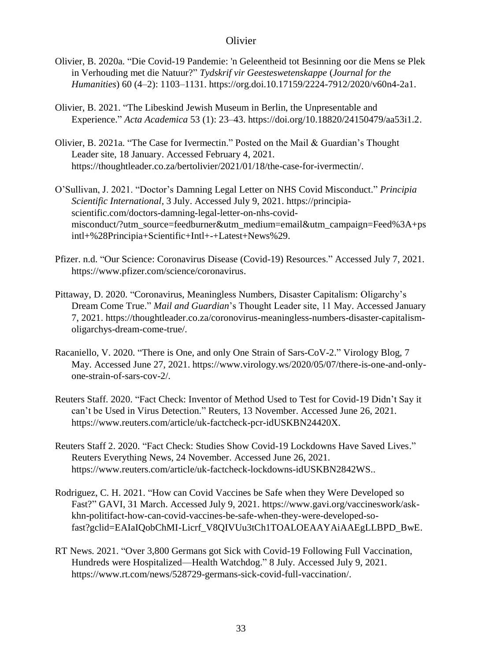- Olivier, B. 2020a. "Die Covid-19 Pandemie: 'n Geleentheid tot Besinning oor die Mens se Plek in Verhouding met die Natuur?" *Tydskrif vir Geesteswetenskappe* (*Journal for the Humanities*) 60 (4–2): 1103–1131. [https://org.doi.10.17159/2224-7912/2020/v60n4-2a1.](https://org.doi.10.17159/2224-7912/2020/v60n4-2a1)
- Olivier, B. 2021. "The Libeskind Jewish Museum in Berlin, the Unpresentable and Experience." *Acta Academica* 53 (1): 23–43. [https://doi.org/10.18820/24150479/aa53i1.2.](https://doi.org/10.18820/24150479/aa53i1.2)
- Olivier, B. 2021a. "The Case for Ivermectin." Posted on the Mail & Guardian's Thought Leader site, 18 January. Accessed February 4, 2021. [https://thoughtleader.co.za/bertolivier/2021/01/18/the-case-for-ivermectin/.](https://thoughtleader.co.za/bertolivier/2021/01/18/the-case-for-ivermectin/)
- O'Sullivan, J. 2021. "Doctor's Damning Legal Letter on NHS Covid Misconduct." *Principia Scientific International*, 3 July. Accessed July 9, 2021. [https://principia](https://principia-scientific.com/doctors-damning-legal-letter-on-nhs-covid-misconduct/?utm_source=feedburner&utm_medium=email&utm_campaign=Feed%3A+psintl+%28Principia+Scientific+Intl+-+Latest+News%29)[scientific.com/doctors-damning-legal-letter-on-nhs-covid](https://principia-scientific.com/doctors-damning-legal-letter-on-nhs-covid-misconduct/?utm_source=feedburner&utm_medium=email&utm_campaign=Feed%3A+psintl+%28Principia+Scientific+Intl+-+Latest+News%29)[misconduct/?utm\\_source=feedburner&utm\\_medium=email&utm\\_campaign=Feed%3A+ps](https://principia-scientific.com/doctors-damning-legal-letter-on-nhs-covid-misconduct/?utm_source=feedburner&utm_medium=email&utm_campaign=Feed%3A+psintl+%28Principia+Scientific+Intl+-+Latest+News%29) [intl+%28Principia+Scientific+Intl+-+Latest+News%29.](https://principia-scientific.com/doctors-damning-legal-letter-on-nhs-covid-misconduct/?utm_source=feedburner&utm_medium=email&utm_campaign=Feed%3A+psintl+%28Principia+Scientific+Intl+-+Latest+News%29)
- Pfizer. n.d. "Our Science: Coronavirus Disease (Covid-19) Resources." Accessed July 7, 2021. [https://www.pfizer.com/science/coronavirus.](https://www.pfizer.com/science/coronavirus)
- Pittaway, D. 2020. "Coronavirus, Meaningless Numbers, Disaster Capitalism: Oligarchy's Dream Come True." *Mail and Guardian*'s Thought Leader site, 11 May. Accessed January 7, 2021[. https://thoughtleader.co.za/coronovirus-meaningless-numbers-disaster-capitalism](https://thoughtleader.co.za/coronovirus-meaningless-numbers-disaster-capitalism-oligarchys-dream-come-true/)[oligarchys-dream-come-true/.](https://thoughtleader.co.za/coronovirus-meaningless-numbers-disaster-capitalism-oligarchys-dream-come-true/)
- Racaniello, V. 2020. "There is One, and only One Strain of Sars-CoV-2." Virology Blog, 7 May. Accessed June 27, 2021. [https://www.virology.ws/2020/05/07/there-is-one-and-only](https://www.virology.ws/2020/05/07/there-is-one-and-only-one-strain-of-sars-cov-2/)[one-strain-of-sars-cov-2/.](https://www.virology.ws/2020/05/07/there-is-one-and-only-one-strain-of-sars-cov-2/)
- Reuters Staff. 2020. "Fact Check: Inventor of Method Used to Test for Covid-19 Didn't Say it can't be Used in Virus Detection." Reuters, 13 November. Accessed June 26, 2021. [https://www.reuters.com/article/uk-factcheck-pcr-idUSKBN24420X.](https://www.reuters.com/article/uk-factcheck-pcr-idUSKBN24420X)
- Reuters Staff 2. 2020. "Fact Check: Studies Show Covid-19 Lockdowns Have Saved Lives." Reuters Everything News, 24 November. Accessed June 26, 2021. [https://www.reuters.com/article/uk-factcheck-lockdowns-idUSKBN2842WS.](https://www.reuters.com/article/uk-factcheck-lockdowns-idUSKBN2842WS).
- Rodriguez, C. H. 2021. "How can Covid Vaccines be Safe when they Were Developed so Fast?" GAVI, 31 March. Accessed July 9, 2021. [https://www.gavi.org/vaccineswork/ask](https://www.gavi.org/vaccineswork/ask-khn-politifact-how-can-covid-vaccines-be-safe-when-they-were-developed-so-fast?gclid=EAIaIQobChMI-Licrf_V8QIVUu3tCh1TOALOEAAYAiAAEgLLBPD_BwE)[khn-politifact-how-can-covid-vaccines-be-safe-when-they-were-developed-so](https://www.gavi.org/vaccineswork/ask-khn-politifact-how-can-covid-vaccines-be-safe-when-they-were-developed-so-fast?gclid=EAIaIQobChMI-Licrf_V8QIVUu3tCh1TOALOEAAYAiAAEgLLBPD_BwE)[fast?gclid=EAIaIQobChMI-Licrf\\_V8QIVUu3tCh1TOALOEAAYAiAAEgLLBPD\\_BwE.](https://www.gavi.org/vaccineswork/ask-khn-politifact-how-can-covid-vaccines-be-safe-when-they-were-developed-so-fast?gclid=EAIaIQobChMI-Licrf_V8QIVUu3tCh1TOALOEAAYAiAAEgLLBPD_BwE)
- RT News. 2021. "Over 3,800 Germans got Sick with Covid-19 Following Full Vaccination, Hundreds were Hospitalized—Health Watchdog." 8 July. Accessed July 9, 2021. [https://www.rt.com/news/528729-germans-sick-covid-full-vaccination/.](https://www.rt.com/news/528729-germans-sick-covid-full-vaccination/)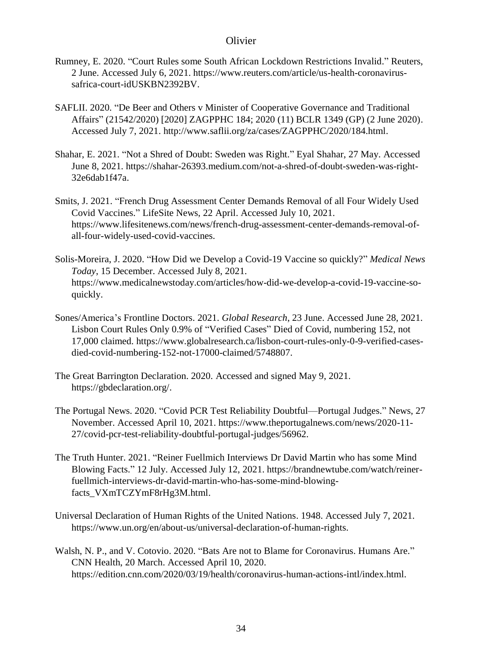- Rumney, E. 2020. "Court Rules some South African Lockdown Restrictions Invalid." Reuters, 2 June. Accessed July 6, 2021. [https://www.reuters.com/article/us-health-coronavirus](https://www.reuters.com/article/us-health-coronavirus-safrica-court-idUSKBN2392BV)[safrica-court-idUSKBN2392BV.](https://www.reuters.com/article/us-health-coronavirus-safrica-court-idUSKBN2392BV)
- SAFLII. 2020. "De Beer and Others v Minister of Cooperative Governance and Traditional Affairs" (21542/2020) [2020] ZAGPPHC 184; 2020 (11) BCLR 1349 (GP) (2 June 2020). Accessed July 7, 2021. [http://www.saflii.org/za/cases/ZAGPPHC/2020/184.html.](http://www.saflii.org/za/cases/ZAGPPHC/2020/184.html)
- Shahar, E. 2021. "Not a Shred of Doubt: Sweden was Right." Eyal Shahar, 27 May. Accessed June 8, 2021[. https://shahar-26393.medium.com/not-a-shred-of-doubt-sweden-was-right-](https://shahar-26393.medium.com/not-a-shred-of-doubt-sweden-was-right-32e6dab1f47a)[32e6dab1f47a.](https://shahar-26393.medium.com/not-a-shred-of-doubt-sweden-was-right-32e6dab1f47a)
- Smits, J. 2021. "French Drug Assessment Center Demands Removal of all Four Widely Used Covid Vaccines." LifeSite News, 22 April. Accessed July 10, 2021. [https://www.lifesitenews.com/news/french-drug-assessment-center-demands-removal-of](https://www.lifesitenews.com/news/french-drug-assessment-center-demands-removal-of-all-four-widely-used-covid-vaccines)[all-four-widely-used-covid-vaccines.](https://www.lifesitenews.com/news/french-drug-assessment-center-demands-removal-of-all-four-widely-used-covid-vaccines)
- Solis-Moreira, J. 2020. "How Did we Develop a Covid-19 Vaccine so quickly?" *Medical News Today*, 15 December. Accessed July 8, 2021. [https://www.medicalnewstoday.com/articles/how-did-we-develop-a-covid-19-vaccine-so](https://www.medicalnewstoday.com/articles/how-did-we-develop-a-covid-19-vaccine-so-quickly)[quickly.](https://www.medicalnewstoday.com/articles/how-did-we-develop-a-covid-19-vaccine-so-quickly)
- Sones/America's Frontline Doctors. 2021. *Global Research*, 23 June. Accessed June 28, 2021. Lisbon Court Rules Only 0.9% of "Verified Cases" Died of Covid, numbering 152, not 17,000 claimed. [https://www.globalresearch.ca/lisbon-court-rules-only-0-9-verified-cases](https://www.globalresearch.ca/lisbon-court-rules-only-0-9-verified-cases-died-covid-numbering-152-not-17000-claimed/5748807)[died-covid-numbering-152-not-17000-claimed/5748807.](https://www.globalresearch.ca/lisbon-court-rules-only-0-9-verified-cases-died-covid-numbering-152-not-17000-claimed/5748807)
- The Great Barrington Declaration. 2020. Accessed and signed May 9, 2021. [https://gbdeclaration.org/.](https://gbdeclaration.org/)
- The Portugal News. 2020. "Covid PCR Test Reliability Doubtful—Portugal Judges." News, 27 November. Accessed April 10, 2021. [https://www.theportugalnews.com/news/2020-11-](https://www.theportugalnews.com/news/2020-11-27/covid-pcr-test-reliability-doubtful-portugal-judges/56962) [27/covid-pcr-test-reliability-doubtful-portugal-judges/56962.](https://www.theportugalnews.com/news/2020-11-27/covid-pcr-test-reliability-doubtful-portugal-judges/56962)
- The Truth Hunter. 2021. "Reiner Fuellmich Interviews Dr David Martin who has some Mind Blowing Facts." 12 July. Accessed July 12, 2021. [https://brandnewtube.com/watch/reiner](https://brandnewtube.com/watch/reiner-fuellmich-interviews-dr-david-martin-who-has-some-mind-blowing-facts_VXmTCZYmF8rHg3M.html)[fuellmich-interviews-dr-david-martin-who-has-some-mind-blowing](https://brandnewtube.com/watch/reiner-fuellmich-interviews-dr-david-martin-who-has-some-mind-blowing-facts_VXmTCZYmF8rHg3M.html)[facts\\_VXmTCZYmF8rHg3M.html.](https://brandnewtube.com/watch/reiner-fuellmich-interviews-dr-david-martin-who-has-some-mind-blowing-facts_VXmTCZYmF8rHg3M.html)
- Universal Declaration of Human Rights of the United Nations. 1948. Accessed July 7, 2021. [https://www.un.org/en/about-us/universal-declaration-of-human-rights.](https://www.un.org/en/about-us/universal-declaration-of-human-rights)
- Walsh, N. P., and V. Cotovio. 2020. "Bats Are not to Blame for Coronavirus. Humans Are." CNN Health, 20 March. Accessed April 10, 2020. [https://edition.cnn.com/2020/03/19/health/coronavirus-human-actions-intl/index.html.](https://edition.cnn.com/2020/03/19/health/coronavirus-human-actions-intl/index.html)